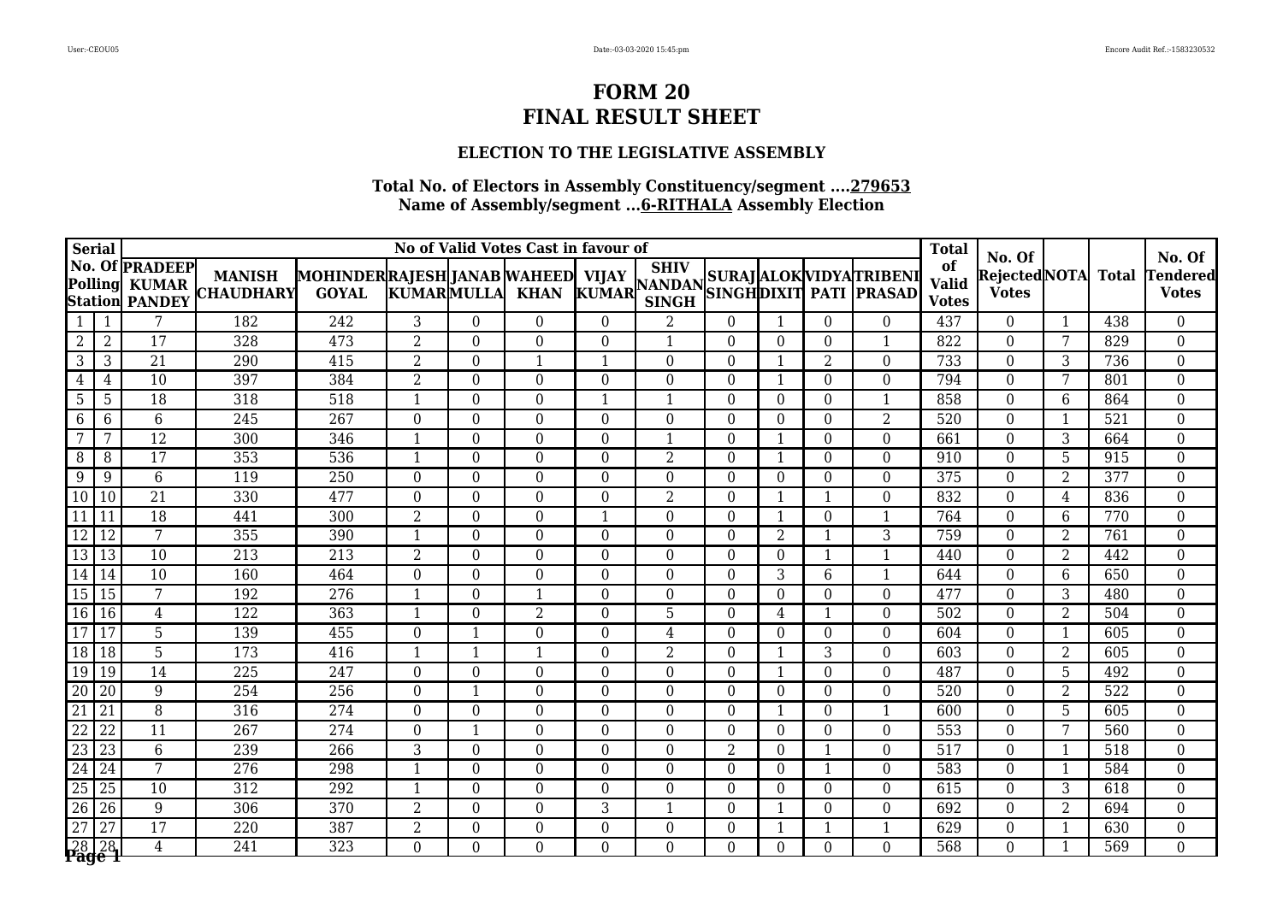### **ELECTION TO THE LEGISLATIVE ASSEMBLY**

| <b>Serial</b>   |                 |                                                                |                                   |                                                     |                          |                  | No of Valid Votes Cast in favour of |                |                             |                  |                |                 |                                                                                                                        | <b>Total</b>                       |                                           |                |              |                                           |
|-----------------|-----------------|----------------------------------------------------------------|-----------------------------------|-----------------------------------------------------|--------------------------|------------------|-------------------------------------|----------------|-----------------------------|------------------|----------------|-----------------|------------------------------------------------------------------------------------------------------------------------|------------------------------------|-------------------------------------------|----------------|--------------|-------------------------------------------|
| Polling         |                 | No. Of <b>PRADEEP</b><br><b>KUMAR</b><br><b>Station PANDEY</b> | <b>MANISH</b><br><b>CHAUDHARY</b> | MOHINDERRAJESH JANAB WAHEED   VIJAY<br><b>GOYAL</b> | <b>KUMARMULLA</b>        |                  | <b>KHAN</b>                         |                | <b>SHIV</b><br><b>SINGH</b> |                  |                |                 | VIJAY   <sup>SHIV</sup>   SURAJ   ALOK   VIDYA   TRIBENI<br>  KUMAR   <sub>SIMCH</sub>   SINGH   DIXIT   PATI   PRASAD | of<br><b>Valid</b><br><b>Votes</b> | No. Of<br> Rejected NOTA <br><b>Votes</b> |                | <b>Total</b> | No. Of<br><b>Tendered</b><br><b>Votes</b> |
|                 | 1               | 7                                                              | 182                               | 242                                                 | 3                        | $\theta$         | $\theta$                            | $\Omega$       | 2                           | $\overline{0}$   | $\mathbf{1}$   | $\Omega$        | $\theta$                                                                                                               | 437                                | $\theta$                                  | 1              | 438          | $\overline{0}$                            |
| $\overline{2}$  | $\overline{2}$  | $\overline{17}$                                                | 328                               | 473                                                 | $\overline{2}$           | $\Omega$         | $\Omega$                            | $\Omega$       | $\mathbf{1}$                | $\Omega$         | $\Omega$       | $\Omega$        | $\mathbf{1}$                                                                                                           | $\overline{822}$                   | $\Omega$                                  | 7              | 829          | $\overline{0}$                            |
| 3               | 3               | $\overline{21}$                                                | 290                               | $\overline{415}$                                    | $\overline{2}$           | $\Omega$         |                                     |                | $\theta$                    | $\theta$         | 1              | $\overline{2}$  | $\theta$                                                                                                               | 733                                | $\theta$                                  | 3              | 736          | $\mathbf{0}$                              |
| $\overline{4}$  | 4               | $\overline{10}$                                                | 397                               | 384                                                 | $\overline{2}$           | $\theta$         | $\Omega$                            | $\Omega$       | $\theta$                    | $\overline{0}$   | 1              | $\Omega$        | $\theta$                                                                                                               | 794                                | $\theta$                                  | 7              | 801          | $\mathbf{0}$                              |
| 5               | 5               | 18                                                             | 318                               | 518                                                 | $\mathbf{1}$             | $\theta$         | $\Omega$                            |                | $\mathbf{1}$                | $\theta$         | $\theta$       | $\Omega$        | $\mathbf{1}$                                                                                                           | 858                                | $\theta$                                  | 6              | 864          | $\boldsymbol{0}$                          |
| 6               | 6               | 6                                                              | 245                               | 267                                                 | $\Omega$                 | $\theta$         | $\theta$                            | $\Omega$       | $\theta$                    | $\boldsymbol{0}$ | $\theta$       | $\theta$        | $\overline{2}$                                                                                                         | 520                                | $\theta$                                  | 1              | 521          | $\mathbf{0}$                              |
| $7\phantom{.0}$ | 7               | $\overline{12}$                                                | 300                               | 346                                                 | -1                       | $\theta$         | $\theta$                            | $\Omega$       | 1                           | $\overline{0}$   | 1              | $\Omega$        | $\theta$                                                                                                               | 661                                | $\theta$                                  | $\overline{3}$ | 664          | $\overline{0}$                            |
| 8               | 8               | $\overline{17}$                                                | 353                               | 536                                                 | $\mathbf{1}$             | $\overline{0}$   | $\Omega$                            | $\overline{0}$ | $\overline{2}$              | $\overline{0}$   | 1              | $\overline{0}$  | $\overline{0}$                                                                                                         | 910                                | $\overline{0}$                            | 5              | 915          | $\overline{0}$                            |
| 9               | 9               | $\overline{6}$                                                 | 119                               | 250                                                 | $\Omega$                 | $\theta$         | $\Omega$                            | $\Omega$       | $\theta$                    | $\theta$         | $\theta$       | $\Omega$        | $\theta$                                                                                                               | 375                                | $\theta$                                  | 2              | 377          | $\boldsymbol{0}$                          |
| 10              | $\vert$ 10      | $\overline{21}$                                                | 330                               | 477                                                 | $\Omega$                 | $\theta$         | $\Omega$                            | $\Omega$       | $\overline{2}$              | $\theta$         | 1              |                 | $\theta$                                                                                                               | 832                                | $\theta$                                  | 4              | 836          | $\overline{0}$                            |
| $\overline{11}$ |                 | $\overline{18}$                                                | 441                               | 300                                                 | 2                        | $\Omega$         | $\Omega$                            |                | $\theta$                    | $\overline{0}$   | $\mathbf{1}$   | $\Omega$        | $\mathbf{1}$                                                                                                           | 764                                | $\Omega$                                  | 6              | 770          | $\mathbf{0}$                              |
| $\overline{12}$ | <sup>12</sup>   | $\overline{7}$                                                 | 355                               | 390                                                 | $\overline{\phantom{a}}$ | $\boldsymbol{0}$ | $\theta$                            | $\overline{0}$ | $\overline{0}$              | $\boldsymbol{0}$ | $\overline{2}$ |                 | $\overline{3}$                                                                                                         | 759                                | $\theta$                                  | 2              | 761          | $\mathbf{0}$                              |
| 13              | 13              | 10                                                             | 213                               | 213                                                 | $\overline{2}$           | $\overline{0}$   | $\theta$                            | $\Omega$       | $\overline{0}$              | $\overline{0}$   | $\theta$       |                 | $\mathbf{1}$                                                                                                           | 440                                | $\theta$                                  | $\overline{2}$ | 442          | $\boldsymbol{0}$                          |
| 14              | 14              | $\overline{10}$                                                | 160                               | 464                                                 | $\Omega$                 | $\theta$         | $\theta$                            | $\Omega$       | $\theta$                    | $\overline{0}$   | 3              | $6\phantom{.}6$ | 1                                                                                                                      | 644                                | $\theta$                                  | 6              | 650          | $\mathbf{0}$                              |
| 15 15           |                 | 7                                                              | 192                               | $\overline{276}$                                    | $\overline{\phantom{a}}$ | $\overline{0}$   |                                     | 0              | $\theta$                    | $\overline{0}$   | $\Omega$       | $\Omega$        | $\theta$                                                                                                               | 477                                | $\theta$                                  | 3              | 480          | $\boldsymbol{0}$                          |
| 16 16           |                 | $\overline{4}$                                                 | $\overline{122}$                  | 363                                                 | $\overline{\phantom{a}}$ | $\overline{0}$   | $\overline{2}$                      | 0              | 5                           | $\boldsymbol{0}$ | 4              |                 | $\overline{0}$                                                                                                         | 502                                | $\overline{0}$                            | $\overline{2}$ | 504          | $\boldsymbol{0}$                          |
| 17              | 17              | 5                                                              | 139                               | 455                                                 | $\Omega$                 | -1               | $\Omega$                            | $\Omega$       | $\overline{4}$              | $\overline{0}$   | $\overline{0}$ | $\Omega$        | $\theta$                                                                                                               | 604                                | $\overline{0}$                            | $\mathbf{1}$   | 605          | $\boldsymbol{0}$                          |
| 18 18           |                 | 5                                                              | 173                               | 416                                                 | $\mathbf 1$              | $\mathbf{1}$     | $\mathbf{1}$                        | $\Omega$       | 2                           | $\overline{0}$   | 1              | 3               | $\theta$                                                                                                               | 603                                | $\theta$                                  | $\overline{2}$ | 605          | $\boldsymbol{0}$                          |
| 19              | 19              | 14                                                             | $\overline{225}$                  | 247                                                 | $\Omega$                 | $\Omega$         | $\theta$                            | $\Omega$       | $\theta$                    | $\overline{0}$   | $\mathbf{1}$   | $\Omega$        | $\theta$                                                                                                               | 487                                | $\theta$                                  | 5              | 492          | $\mathbf{0}$                              |
| $\overline{20}$ | $\overline{20}$ | 9                                                              | 254                               | 256                                                 | $\Omega$                 | $\mathbf{1}$     | $\theta$                            | $\Omega$       | $\overline{0}$              | $\Omega$         | $\theta$       | $\Omega$        | $\overline{0}$                                                                                                         | 520                                | $\theta$                                  | 2              | 522          | $\mathbf{0}$                              |
| $\overline{21}$ | 21              | $\overline{8}$                                                 | 316                               | 274                                                 | $\overline{0}$           | $\overline{0}$   | $\overline{0}$                      | 0              | $\overline{0}$              | $\boldsymbol{0}$ | $\mathbf{1}$   | $\overline{0}$  | $\mathbf{1}$                                                                                                           | 600                                | $\overline{0}$                            | 5              | 605          | $\overline{0}$                            |
| $\overline{22}$ | $\overline{22}$ | $\overline{11}$                                                | $\overline{267}$                  | 274                                                 | $\Omega$                 | -1               | $\Omega$                            | $\Omega$       | $\theta$                    | $\overline{0}$   | $\theta$       | $\Omega$        | $\theta$                                                                                                               | 553                                | $\theta$                                  | 7              | 560          | $\boldsymbol{0}$                          |
| $\overline{23}$ | 23              | $\overline{6}$                                                 | 239                               | 266                                                 | 3                        | $\Omega$         | $\Omega$                            | $\Omega$       | $\theta$                    | $\overline{2}$   | $\theta$       |                 | $\theta$                                                                                                               | 517                                | $\theta$                                  | $\overline{1}$ | 518          | $\boldsymbol{0}$                          |
| $\overline{24}$ | $\overline{24}$ | $\overline{7}$                                                 | $\overline{276}$                  | 298                                                 | $\mathbf 1$              | $\theta$         | $\Omega$                            | $\Omega$       | $\theta$                    | $\overline{0}$   | $\theta$       | $\mathbf 1$     | $\theta$                                                                                                               | 583                                | $\Omega$                                  | $\overline{1}$ | 584          | $\mathbf{0}$                              |
| $\overline{25}$ | 25              | 10                                                             | 312                               | 292                                                 | $\overline{\phantom{a}}$ | $\overline{0}$   | $\theta$                            | $\Omega$       | $\theta$                    | $\boldsymbol{0}$ | $\theta$       | $\theta$        | $\theta$                                                                                                               | 615                                | $\theta$                                  | $\overline{3}$ | 618          | $\boldsymbol{0}$                          |
| $\overline{26}$ | 26              | $9\,$                                                          | 306                               | 370                                                 | $\overline{2}$           | $\theta$         | $\theta$                            | 3              | $\mathbf{1}$                | $\overline{0}$   | 1              | $\theta$        | $\theta$                                                                                                               | 692                                | $\theta$                                  | $\overline{2}$ | 694          | $\boldsymbol{0}$                          |
| $\overline{27}$ | $\overline{27}$ | $\overline{17}$                                                | 220                               | 387                                                 | $\overline{2}$           | $\theta$         | $\Omega$                            | $\Omega$       | $\theta$                    | $\theta$         | 1              |                 | -1                                                                                                                     | 629                                | $\theta$                                  | $\overline{1}$ | 630          | $\boldsymbol{0}$                          |
| 2828            |                 | $\overline{4}$                                                 | $\overline{241}$                  | $\overline{323}$                                    | $\Omega$                 | $\Omega$         | $\Omega$                            | 0              | $\Omega$                    | $\Omega$         | $\Omega$       | $\Omega$        | $\Omega$                                                                                                               | $\overline{568}$                   | $\Omega$                                  |                | 569          | $\overline{0}$                            |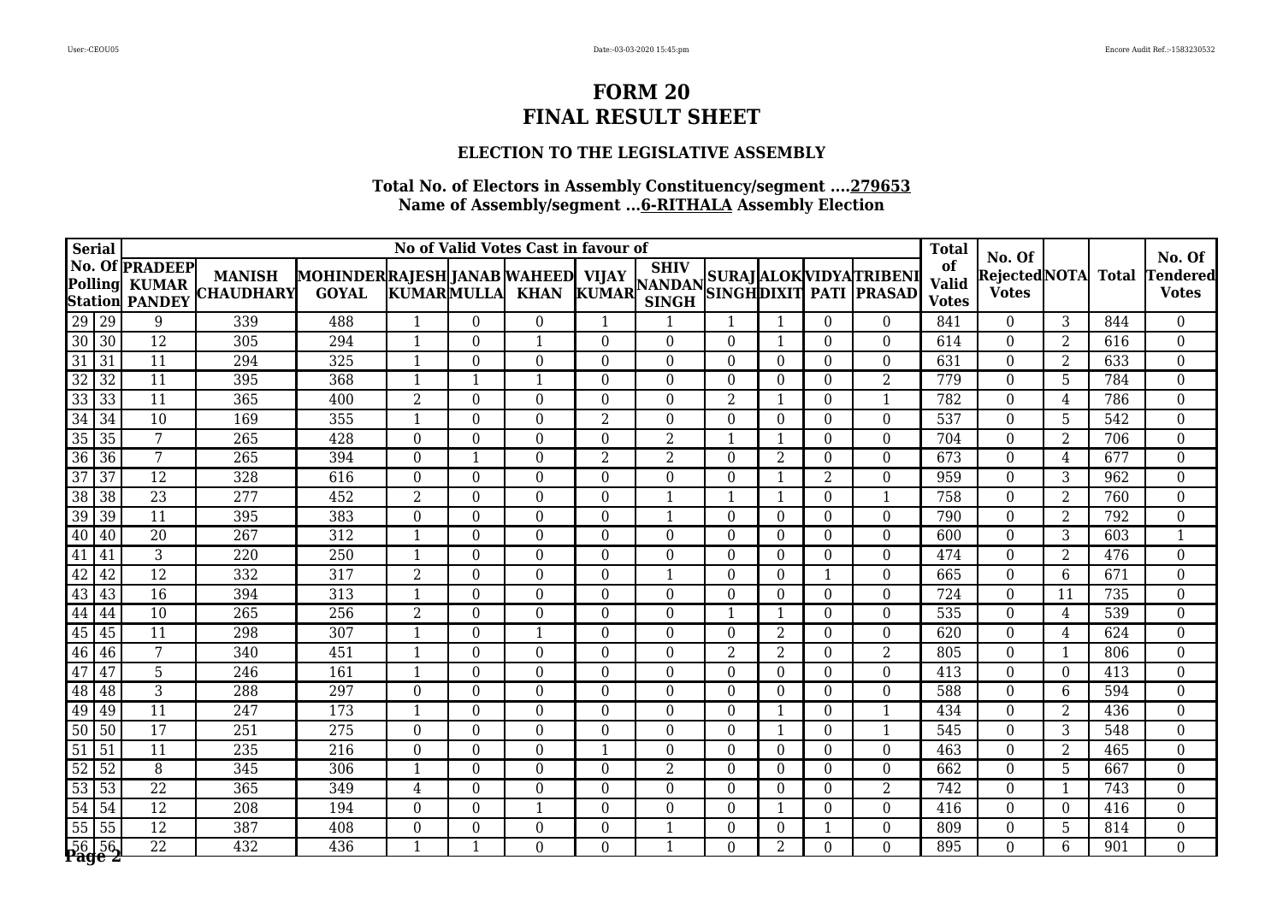### **ELECTION TO THE LEGISLATIVE ASSEMBLY**

| <b>Serial</b>      |                 |                                                                |                                   |                                                     |                   |                | No of Valid Votes Cast in favour of |                |                |                  |                |                |                                     | <b>Total</b>                       |                                           |                |              |                                           |
|--------------------|-----------------|----------------------------------------------------------------|-----------------------------------|-----------------------------------------------------|-------------------|----------------|-------------------------------------|----------------|----------------|------------------|----------------|----------------|-------------------------------------|------------------------------------|-------------------------------------------|----------------|--------------|-------------------------------------------|
| <b>Polling</b>     |                 | No. Of <b>PRADEEP</b><br><b>KUMAR</b><br><b>Station PANDEY</b> | <b>MANISH</b><br><b>CHAUDHARY</b> | MOHINDER RAJESH JANAB WAHEED  VIJAY<br><b>GOYAL</b> | <b>KUMARMULLA</b> |                | <b>KHAN</b>                         |                | <b>SINGH</b>   |                  |                |                | VIJAY SILLY SURAJ ALOK VIDYATRIBENI | of<br><b>Valid</b><br><b>Votes</b> | No. Of<br> Rejected NOTA <br><b>Votes</b> |                | <b>Total</b> | No. Of<br><b>Tendered</b><br><b>Votes</b> |
| 29 29              |                 | 9                                                              | 339                               | 488                                                 | $\mathbf 1$       | $\Omega$       | $\theta$                            | 1              | $\mathbf{1}$   | $\mathbf{1}$     | 1              | $\theta$       | $\theta$                            | 841                                | $\Omega$                                  | 3              | 844          | $\overline{0}$                            |
| 30 30              |                 | $\overline{12}$                                                | $\overline{305}$                  | 294                                                 | -1                | $\Omega$       | -1                                  | 0              | $\Omega$       | $\theta$         | 1              | $\Omega$       | $\Omega$                            | 614                                | $\Omega$                                  | $\overline{2}$ | 616          | $\overline{0}$                            |
| $\overline{31}$    | $\overline{31}$ | $\overline{11}$                                                | 294                               | 325                                                 |                   | $\overline{0}$ | $\theta$                            | 0              | $\theta$       | $\theta$         | $\theta$       | $\theta$       | $\theta$                            | 631                                | $\Omega$                                  | $\overline{2}$ | 633          | $\overline{0}$                            |
| $\overline{32}$    | $\overline{32}$ | $\overline{11}$                                                | 395                               | 368                                                 |                   |                | $\mathbf 1$                         | $\Omega$       | $\theta$       | $\boldsymbol{0}$ | $\theta$       | $\theta$       | $\overline{2}$                      | 779                                | $\theta$                                  | 5              | 784          | $\boldsymbol{0}$                          |
| 33                 | 33              | $\overline{11}$                                                | 365                               | 400                                                 | 2                 | $\theta$       | 0                                   | 0              | $\Omega$       | $\overline{2}$   | $\mathbf{1}$   | $\Omega$       |                                     | 782                                | $\theta$                                  | 4              | 786          | $\boldsymbol{0}$                          |
| $\overline{34}$    | 34              | 10                                                             | 169                               | 355                                                 | 1                 | $\Omega$       | $\theta$                            | 2              | $\overline{0}$ | $\boldsymbol{0}$ | $\theta$       | $\theta$       | $\Omega$                            | 537                                | $\theta$                                  | 5              | 542          | $\overline{0}$                            |
| $\overline{35}$    | $\overline{35}$ | 7                                                              | $\overline{265}$                  | 428                                                 | $\Omega$          | $\overline{0}$ | $\theta$                            | $\Omega$       | $\overline{2}$ | 1                | $\mathbf{1}$   | $\theta$       | $\theta$                            | 704                                | $\Omega$                                  | 2              | 706          | $\overline{0}$                            |
| 36 36              |                 | $\overline{7}$                                                 | 265                               | 394                                                 | $\Omega$          | $\mathbf{1}$   | $\Omega$                            | $\overline{2}$ | $\overline{2}$ | $\overline{0}$   | $\overline{2}$ | $\theta$       | $\boldsymbol{0}$                    | 673                                | $\overline{0}$                            | $\overline{4}$ | 677          | $\overline{0}$                            |
| $\overline{37}$    | $\overline{37}$ | $\overline{12}$                                                | 328                               | 616                                                 | $\Omega$          | $\Omega$       | 0                                   | 0              | $\Omega$       | $\theta$         | $\mathbf{1}$   | $\overline{2}$ | $\Omega$                            | 959                                | $\theta$                                  | 3              | 962          | $\overline{0}$                            |
| $\overline{38}$    | $\overline{38}$ | $\overline{23}$                                                | 277                               | 452                                                 | 2                 | $\theta$       | $\Omega$                            | $\Omega$       | -1             | 1                | 1              | $\Omega$       | 1                                   | 758                                | $\theta$                                  | 2              | 760          | $\boldsymbol{0}$                          |
| 39                 | 39              | $\overline{11}$                                                | 395                               | 383                                                 | $\Omega$          | $\Omega$       | $\Omega$                            | 0              | $\mathbf{1}$   | $\overline{0}$   | $\Omega$       | $\Omega$       | $\theta$                            | 790                                | $\Omega$                                  | 2              | 792          | $\overline{0}$                            |
| 40                 | $\vert$ 40      | $\overline{20}$                                                | $\overline{267}$                  | $\overline{312}$                                    |                   | $\overline{0}$ | $\Omega$                            | 0              | $\overline{0}$ | $\overline{0}$   | $\mathbf{0}$   | $\theta$       | $\overline{0}$                      | 600                                | $\theta$                                  | 3              | 603          | $\mathbf{1}$                              |
| 41                 | 41              | 3                                                              | 220                               | 250                                                 | $\mathbf 1$       | $\overline{0}$ | $\theta$                            | $\Omega$       | $\overline{0}$ | $\boldsymbol{0}$ | $\theta$       | $\Omega$       | $\Omega$                            | 474                                | $\Omega$                                  | $\overline{2}$ | 476          | $\boldsymbol{0}$                          |
| 42                 | 42              | $\overline{12}$                                                | 332                               | 317                                                 | $\overline{2}$    | $\Omega$       | $\Omega$                            | 0              | 1              | $\theta$         | $\theta$       | $\mathbf 1$    | $\theta$                            | 665                                | $\Omega$                                  | 6              | 671          | $\overline{0}$                            |
| 43                 | 43              | $\overline{16}$                                                | 394                               | 313                                                 | -1                | $\Omega$       | 0                                   | 0              | $\Omega$       | $\theta$         | $\Omega$       | $\Omega$       | $\Omega$                            | 724                                | $\Omega$                                  | 11             | 735          | $\overline{0}$                            |
| $\overline{44}$    | 44              | $\overline{10}$                                                | 265                               | $\overline{256}$                                    | 2                 | $\overline{0}$ | $\Omega$                            | 0              | $\overline{0}$ | 1                | $\mathbf{1}$   | $\Omega$       | $\overline{0}$                      | 535                                | $\overline{0}$                            | 4              | 539          | $\overline{0}$                            |
| 45                 | 45              | $\overline{11}$                                                | 298                               | 307                                                 |                   | $\Omega$       | $\mathbf 1$                         | $\Omega$       | $\overline{0}$ | $\overline{0}$   | $\overline{2}$ | $\Omega$       | $\overline{0}$                      | 620                                | $\overline{0}$                            | 4              | 624          | $\overline{0}$                            |
| 46 46              |                 | 7                                                              | 340                               | 451                                                 |                   | $\overline{0}$ | 0                                   | 0              | $\theta$       | $\overline{2}$   | $\overline{2}$ | $\theta$       | $\overline{2}$                      | 805                                | $\theta$                                  | -1             | 806          | $\overline{0}$                            |
| 47                 | 47              | $\overline{5}$                                                 | $\overline{246}$                  | 161                                                 | 1                 | $\Omega$       | $\Omega$                            | 0              | $\Omega$       | $\boldsymbol{0}$ | $\Omega$       | $\theta$       | $\Omega$                            | 413                                | $\Omega$                                  | $\theta$       | 413          | $\overline{0}$                            |
| 48                 | 48              | 3                                                              | 288                               | 297                                                 | $\theta$          | $\theta$       | $\theta$                            | $\Omega$       | $\overline{0}$ | $\boldsymbol{0}$ | $\theta$       | $\theta$       | $\boldsymbol{0}$                    | 588                                | $\boldsymbol{0}$                          | 6              | 594          | $\boldsymbol{0}$                          |
| 49                 | 49              | $\overline{11}$                                                | $\overline{247}$                  | 173                                                 |                   | $\overline{0}$ | $\overline{0}$                      | 0              | $\overline{0}$ | $\boldsymbol{0}$ | 1              | $\theta$       | $\mathbf{1}$                        | 434                                | $\overline{0}$                            | $\overline{2}$ | 436          | $\overline{0}$                            |
| 50 50              |                 | $\overline{17}$                                                | 251                               | $\overline{275}$                                    | $\Omega$          | $\overline{0}$ | 0                                   | 0              | $\theta$       | $\theta$         | 1              | $\theta$       | 1                                   | 545                                | $\theta$                                  | 3              | 548          | $\boldsymbol{0}$                          |
| $\overline{51}$    | 51              | 11                                                             | 235                               | 216                                                 | 0                 | $\Omega$       | $\Omega$                            |                | $\theta$       | $\theta$         | $\theta$       | $\Omega$       | $\Omega$                            | 463                                | $\theta$                                  | 2              | 465          | $\boldsymbol{0}$                          |
| 52                 | $\overline{52}$ | $\overline{8}$                                                 | 345                               | 306                                                 |                   | $\Omega$       | $\Omega$                            | $\Omega$       | 2              | $\theta$         | $\theta$       | $\theta$       | $\Omega$                            | 662                                | $\Omega$                                  | 5              | 667          | $\boldsymbol{0}$                          |
| 53 53              |                 | $\overline{22}$                                                | 365                               | 349                                                 | 4                 | $\overline{0}$ | $\Omega$                            | 0              | $\theta$       | $\boldsymbol{0}$ | $\theta$       | $\theta$       | $\overline{2}$                      | 742                                | $\theta$                                  | 1              | 743          | $\boldsymbol{0}$                          |
| 54                 | 54              | $\overline{12}$                                                | 208                               | 194                                                 | $\Omega$          | $\Omega$       | $\mathbf{1}$                        | $\Omega$       | $\theta$       | $\overline{0}$   | 1              | $\theta$       | $\theta$                            | 416                                | $\Omega$                                  | $\theta$       | 416          | $\boldsymbol{0}$                          |
| 55 55              |                 | $\overline{12}$                                                | 387                               | 408                                                 | $\Omega$          | $\Omega$       | $\Omega$                            | 0              |                | $\overline{0}$   | $\Omega$       |                | $\Omega$                            | 809                                | $\theta$                                  | 5              | 814          | $\overline{0}$                            |
| $56\overline{)56}$ |                 | $\overline{22}$                                                | $\overline{432}$                  | 436                                                 |                   |                | 0                                   | 0              |                | $\Omega$         | $\overline{2}$ | $\Omega$       | $\Omega$                            | 895                                | $\Omega$                                  | 6              | 901          | $\overline{0}$                            |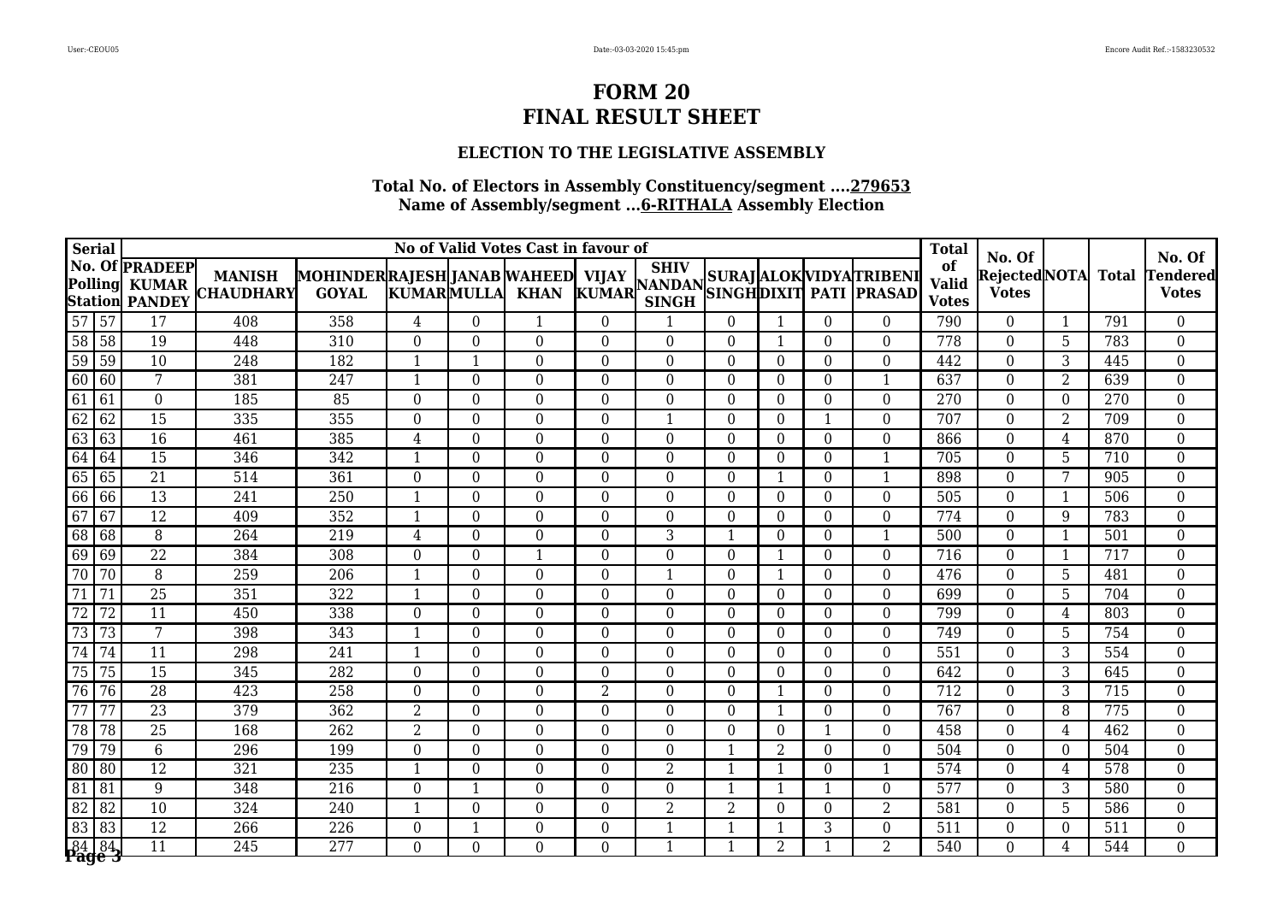## **ELECTION TO THE LEGISLATIVE ASSEMBLY**

| <b>Serial</b>   |                 |                                                                |                                   |                                                     |                          |                | No of Valid Votes Cast in favour of |          |                |                  |                  |              |                                     | <b>Total</b>                       |                                           |                |              |                                           |
|-----------------|-----------------|----------------------------------------------------------------|-----------------------------------|-----------------------------------------------------|--------------------------|----------------|-------------------------------------|----------|----------------|------------------|------------------|--------------|-------------------------------------|------------------------------------|-------------------------------------------|----------------|--------------|-------------------------------------------|
| Polling         |                 | No. Of <b>PRADEEP</b><br><b>KUMAR</b><br><b>Station PANDEY</b> | <b>MANISH</b><br><b>CHAUDHARY</b> | MOHINDER RAJESH JANAB WAHEED  VIJAY<br><b>GOYAL</b> | <b>KUMARMULLA</b>        |                | <b>KHAN</b>                         |          | <b>SINGH</b>   |                  |                  |              | VIJAY SILLY SURAJ ALOK VIDYATRIBENI | of<br><b>Valid</b><br><b>Votes</b> | No. Of<br> Rejected NOTA <br><b>Votes</b> |                | <b>Total</b> | No. Of<br><b>Tendered</b><br><b>Votes</b> |
| 57 57           |                 | 17                                                             | 408                               | 358                                                 | $\overline{4}$           | $\Omega$       | 1                                   | $\Omega$ | $\mathbf{1}$   | $\theta$         | 1                | $\theta$     | $\theta$                            | 790                                | $\Omega$                                  | 1              | 791          | $\overline{0}$                            |
| 58 58           |                 | $\overline{19}$                                                | 448                               | $\overline{310}$                                    | $\Omega$                 | $\overline{0}$ | $\Omega$                            | 0        | $\Omega$       | $\Omega$         | $\mathbf{1}$     | $\Omega$     | $\Omega$                            | $\overline{778}$                   | $\Omega$                                  | 5              | 783          | $\overline{0}$                            |
| 59              | $\overline{59}$ | $\overline{10}$                                                | $\overline{248}$                  | 182                                                 |                          | $\mathbf 1$    | $\Omega$                            | $\Omega$ | $\theta$       | $\theta$         | $\theta$         | $\theta$     | $\theta$                            | 442                                | $\Omega$                                  | 3              | 445          | $\overline{0}$                            |
| 60              | 60              | $\overline{7}$                                                 | 381                               | 247                                                 |                          | $\overline{0}$ | $\Omega$                            | $\Omega$ | $\theta$       | $\boldsymbol{0}$ | $\theta$         | $\theta$     | $\mathbf{1}$                        | 637                                | $\theta$                                  | $\overline{2}$ | 639          | $\boldsymbol{0}$                          |
| $\overline{61}$ | 61              | $\boldsymbol{0}$                                               | 185                               | 85                                                  | $\Omega$                 | $\overline{0}$ | 0                                   | 0        | $\Omega$       | $\theta$         | $\Omega$         | $\Omega$     | $\Omega$                            | 270                                | $\theta$                                  | $\Omega$       | 270          | $\boldsymbol{0}$                          |
| 62              | 62              | 15                                                             | 335                               | 355                                                 | $\Omega$                 | $\Omega$       | $\theta$                            | 0        | 1              | $\overline{0}$   | $\theta$         | -1           | $\Omega$                            | 707                                | $\theta$                                  | 2              | 709          | $\overline{0}$                            |
| 63              | 63              | $\overline{16}$                                                | 461                               | 385                                                 | 4                        | $\overline{0}$ | $\theta$                            | 0        | $\theta$       | $\overline{0}$   | $\theta$         | $\theta$     | $\theta$                            | 866                                | $\Omega$                                  | 4              | 870          | $\overline{0}$                            |
| 64              | 64              | $\overline{15}$                                                | 346                               | 342                                                 |                          | $\overline{0}$ | $\Omega$                            | 0        | $\overline{0}$ | $\overline{0}$   | $\mathbf{0}$     | $\theta$     | $\mathbf{1}$                        | 705                                | $\overline{0}$                            | 5              | 710          | $\overline{0}$                            |
| 65              | 65              | $\overline{21}$                                                | 514                               | 361                                                 | $\Omega$                 | $\Omega$       | $\Omega$                            | 0        | $\theta$       | $\theta$         | 1                | $\theta$     | $\mathbf{1}$                        | 898                                | $\theta$                                  | 7              | 905          | $\overline{0}$                            |
| 66              | 66              | 13                                                             | 241                               | 250                                                 |                          | $\theta$       | $\Omega$                            | $\Omega$ | $\theta$       | $\theta$         | $\theta$         | $\Omega$     | $\Omega$                            | 505                                | $\theta$                                  | 1              | 506          | $\boldsymbol{0}$                          |
| 67              | 67              | $\overline{12}$                                                | 409                               | 352                                                 |                          | $\Omega$       | $\Omega$                            | 0        | $\Omega$       | $\overline{0}$   | $\Omega$         | $\Omega$     | $\overline{0}$                      | 774                                | $\Omega$                                  | 9              | 783          | $\overline{0}$                            |
| 68              | $\overline{68}$ | $\overline{8}$                                                 | 264                               | $\overline{219}$                                    | 4                        | $\overline{0}$ | $\Omega$                            | 0        | $\overline{3}$ | $\mathbf{1}$     | $\overline{0}$   | $\theta$     | $\mathbf{1}$                        | 500                                | $\overline{0}$                            | -1             | 501          | $\overline{0}$                            |
| 69              | 69              | $\overline{22}$                                                | 384                               | 308                                                 | $\Omega$                 | $\overline{0}$ | $\overline{\mathbf{1}}$             | $\Omega$ | $\overline{0}$ | $\theta$         | 1                | $\Omega$     | $\theta$                            | 716                                | $\Omega$                                  | -1             | 717          | $\boldsymbol{0}$                          |
| $\overline{70}$ | $\overline{70}$ | $\overline{8}$                                                 | 259                               | 206                                                 | $\overline{\phantom{a}}$ | $\Omega$       | $\Omega$                            | 0        | 1              | $\theta$         | $\mathbf{1}$     | $\theta$     | $\theta$                            | 476                                | $\Omega$                                  | 5              | 481          | $\boldsymbol{0}$                          |
| $\overline{71}$ | 71              | $\overline{25}$                                                | 351                               | 322                                                 | -1                       | $\Omega$       | 0                                   | 0        | $\Omega$       | $\theta$         | $\Omega$         | $\Omega$     | $\Omega$                            | 699                                | $\Omega$                                  | 5              | 704          | $\overline{0}$                            |
| $\overline{72}$ | $\overline{72}$ | $\overline{11}$                                                | 450                               | 338                                                 | $\Omega$                 | $\overline{0}$ | $\Omega$                            | 0        | $\overline{0}$ | $\overline{0}$   | $\boldsymbol{0}$ | $\theta$     | $\overline{0}$                      | 799                                | $\overline{0}$                            | 4              | 803          | $\overline{0}$                            |
| $\overline{73}$ | $\overline{73}$ | 7                                                              | 398                               | 343                                                 |                          | $\Omega$       | $\Omega$                            | $\Omega$ | $\overline{0}$ | $\overline{0}$   | $\overline{0}$   | $\Omega$     | $\overline{0}$                      | 749                                | $\overline{0}$                            | 5              | 754          | $\overline{0}$                            |
| $\overline{74}$ | 74              | $\overline{11}$                                                | 298                               | 241                                                 |                          | $\overline{0}$ | 0                                   | 0        | $\theta$       | $\theta$         | $\theta$         | $\Omega$     | $\theta$                            | 551                                | $\theta$                                  | 3              | 554          | $\overline{0}$                            |
| 75              | $\overline{75}$ | $\overline{15}$                                                | 345                               | 282                                                 | $\Omega$                 | $\Omega$       | $\Omega$                            | 0        | $\Omega$       | $\theta$         | $\Omega$         | $\theta$     | $\Omega$                            | 642                                | $\Omega$                                  | 3              | 645          | $\overline{0}$                            |
| 76              | 76              | $\overline{28}$                                                | 423                               | 258                                                 | $\Omega$                 | $\Omega$       | $\theta$                            | 2        | $\overline{0}$ | $\overline{0}$   | 1                | $\theta$     | $\boldsymbol{0}$                    | 712                                | $\boldsymbol{0}$                          | 3              | 715          | $\boldsymbol{0}$                          |
| 77              | 77              | $\overline{23}$                                                | 379                               | 362                                                 | $\overline{2}$           | $\overline{0}$ | $\Omega$                            | 0        | $\overline{0}$ | $\boldsymbol{0}$ | 1                | $\theta$     | $\overline{0}$                      | 767                                | $\overline{0}$                            | 8              | 775          | $\overline{0}$                            |
| $\overline{78}$ | 78              | $\overline{25}$                                                | 168                               | $\overline{262}$                                    | $\overline{2}$           | $\overline{0}$ | 0                                   | 0        | $\Omega$       | $\theta$         | $\theta$         | $\mathbf{1}$ | $\Omega$                            | 458                                | $\theta$                                  | 4              | 462          | $\boldsymbol{0}$                          |
| 79              | 79              | $\overline{6}$                                                 | 296                               | 199                                                 | $\Omega$                 | $\Omega$       | $\Omega$                            | $\Omega$ | $\theta$       | 1                | 2                | $\Omega$     | $\Omega$                            | 504                                | $\Omega$                                  | $\Omega$       | 504          | $\boldsymbol{0}$                          |
| 80              | 80              | $\overline{12}$                                                | 321                               | 235                                                 |                          | $\Omega$       | $\Omega$                            | $\Omega$ | $\overline{2}$ | 1                | $\mathbf{1}$     | $\Omega$     | 1                                   | 574                                | $\Omega$                                  | 4              | 578          | $\boldsymbol{0}$                          |
| 81              | 81              | $\overline{9}$                                                 | 348                               | $\overline{216}$                                    | $\theta$                 | -1             | $\Omega$                            | 0        | $\theta$       | $\mathbf{1}$     | $\mathbf{1}$     | $\mathbf 1$  | $\overline{0}$                      | 577                                | $\theta$                                  | 3              | 580          | $\boldsymbol{0}$                          |
| 82              | 82              | 10                                                             | 324                               | 240                                                 | $\mathbf 1$              | $\Omega$       | $\Omega$                            | $\Omega$ | $\overline{2}$ | $\overline{2}$   | $\theta$         | $\theta$     | $\overline{2}$                      | 581                                | $\Omega$                                  | 5              | 586          | $\boldsymbol{0}$                          |
| 83              | 83              | $\overline{12}$                                                | 266                               | 226                                                 | $\Omega$                 |                | $\Omega$                            | $\Omega$ | $\mathbf{1}$   | $\mathbf{1}$     | -1               | 3            | $\theta$                            | 511                                | $\theta$                                  | $\Omega$       | 511          | $\overline{0}$                            |
| 8484            |                 | $\overline{11}$                                                | $\overline{245}$                  | $\overline{277}$                                    | $\Omega$                 | $\Omega$       | 0                                   | 0        |                | $\mathbf 1$      | $\overline{2}$   |              | $\overline{2}$                      | 540                                | $\Omega$                                  | 4              | 544          | $\overline{0}$                            |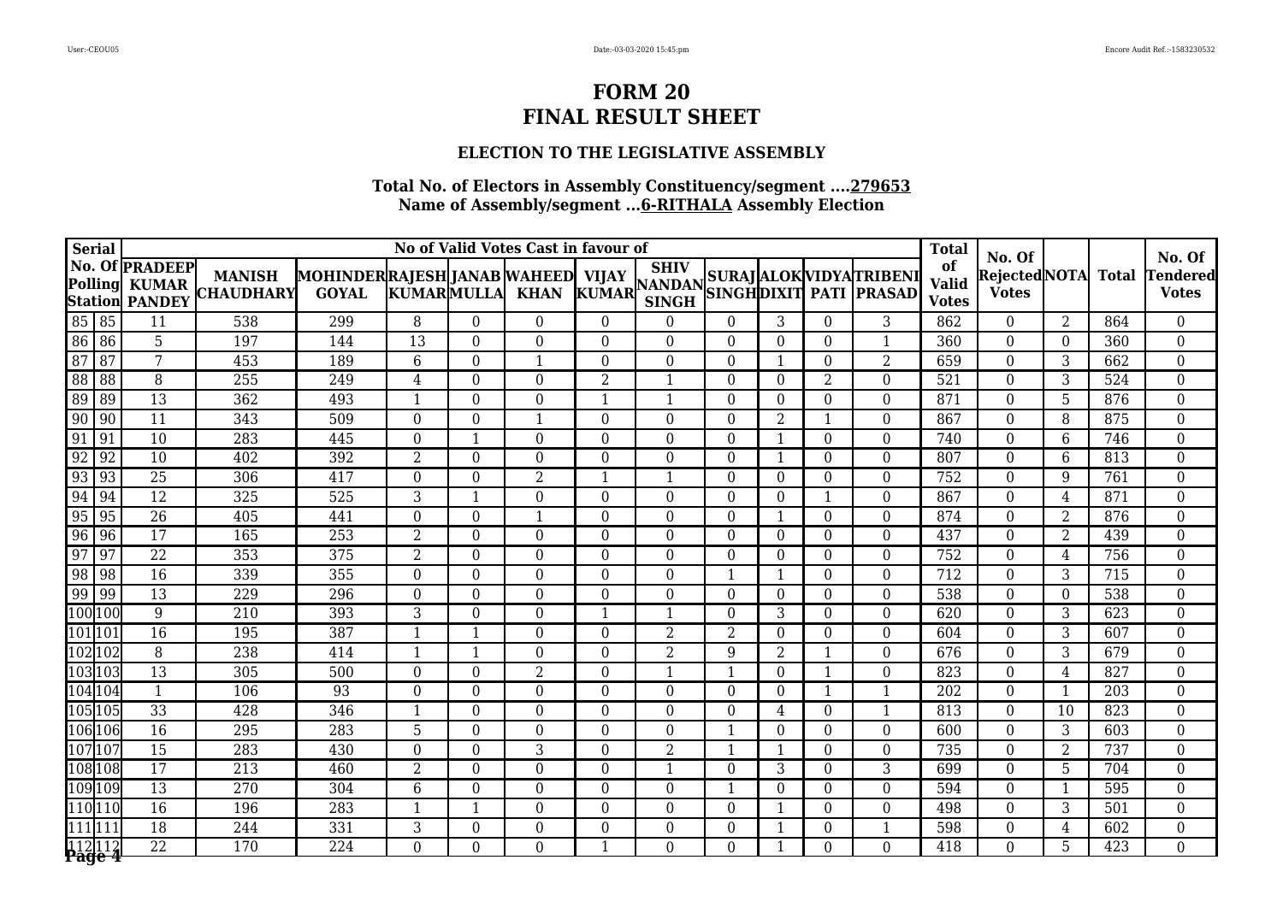### **ELECTION TO THE LEGISLATIVE ASSEMBLY**

| <b>Serial</b>   |             |                                                                |                                   |                                                    |                          |                  | No of Valid Votes Cast in favour of |                |                             |                  |                  |                  |                                                                                                                        | <b>Total</b>                       |                                           |                   |                  |                                           |
|-----------------|-------------|----------------------------------------------------------------|-----------------------------------|----------------------------------------------------|--------------------------|------------------|-------------------------------------|----------------|-----------------------------|------------------|------------------|------------------|------------------------------------------------------------------------------------------------------------------------|------------------------------------|-------------------------------------------|-------------------|------------------|-------------------------------------------|
| <b>Polling</b>  |             | No. Of <b>PRADEEP</b><br><b>KUMAR</b><br><b>Station PANDEY</b> | <b>MANISH</b><br><b>CHAUDHARY</b> | MOHINDERRAJESH JANAB WAHEED  VIJAY<br><b>GOYAL</b> | <b>KUMARMULLA</b>        |                  | <b>KHAN</b>                         |                | <b>SHIV</b><br><b>SINGH</b> |                  |                  |                  | VIJAY   <sup>SHIV</sup>   SURAJ   ALOK   VIDYA   TRIBENI<br>  KUMAR   <sub>SIMCH</sub>   SINGH   DIXIT   PATI   PRASAD | of<br><b>Valid</b><br><b>Votes</b> | No. Of<br> Rejected NOTA <br><b>Votes</b> |                   | <b>Total</b>     | No. Of<br><b>Tendered</b><br><b>Votes</b> |
| 85 85           |             | 11                                                             | 538                               | 299                                                | 8                        | $\theta$         | $\theta$                            | $\Omega$       | $\theta$                    | $\overline{0}$   | 3                | $\theta$         | 3                                                                                                                      | 862                                | $\theta$                                  | 2                 | 864              | $\overline{0}$                            |
| 86 86           |             | $\overline{5}$                                                 | 197                               | 144                                                | $\overline{13}$          | $\overline{0}$   | $\Omega$                            | $\Omega$       | $\Omega$                    | $\overline{0}$   | $\Omega$         | $\Omega$         | $\mathbf{1}$                                                                                                           | $\overline{360}$                   | $\Omega$                                  | $\Omega$          | 360              | $\boldsymbol{0}$                          |
| $\overline{87}$ | $\sqrt{87}$ | $\overline{7}$                                                 | 453                               | 189                                                | 6                        | $\Omega$         |                                     | $\Omega$       | $\theta$                    | $\Omega$         | 1                | $\theta$         | 2                                                                                                                      | 659                                | $\theta$                                  | 3                 | 662              | $\boldsymbol{0}$                          |
| 88              | 88          | $\overline{8}$                                                 | 255                               | 249                                                | 4                        | $\theta$         | $\Omega$                            | $\overline{2}$ | $\mathbf{1}$                | $\overline{0}$   | $\overline{0}$   | $\overline{2}$   | $\theta$                                                                                                               | 521                                | $\theta$                                  | $3^{\overline{}}$ | 524              | $\boldsymbol{0}$                          |
| 89              | 89          | $\overline{13}$                                                | 362                               | 493                                                | $\mathbf{1}$             | $\theta$         | $\theta$                            |                | $\mathbf{1}$                | $\theta$         | $\theta$         | $\Omega$         | $\theta$                                                                                                               | 871                                | $\Omega$                                  | 5                 | 876              | 0                                         |
| 90              | 90          | 11                                                             | 343                               | 509                                                | $\Omega$                 | $\theta$         | $\overline{\mathbf{1}}$             | $\Omega$       | $\theta$                    | $\boldsymbol{0}$ | 2                | -1               | $\theta$                                                                                                               | 867                                | $\theta$                                  | 8                 | 875              | $\overline{0}$                            |
| 91              | 91          | $\overline{10}$                                                | 283                               | 445                                                | $\Omega$                 | -1               | $\theta$                            | $\Omega$       | $\theta$                    | $\overline{0}$   | 1                | $\Omega$         | $\theta$                                                                                                               | 740                                | $\theta$                                  | 6                 | $\overline{746}$ | $\overline{0}$                            |
| 92              | 92          | $\overline{10}$                                                | 402                               | 392                                                | $\overline{2}$           | $\overline{0}$   | $\Omega$                            | $\overline{0}$ | $\mathbf{0}$                | $\overline{0}$   | 1                | $\overline{0}$   | $\overline{0}$                                                                                                         | 807                                | $\overline{0}$                            | 6                 | 813              | $\overline{0}$                            |
| 93              | 93          | $\overline{25}$                                                | 306                               | 417                                                | $\Omega$                 | $\theta$         | $\overline{2}$                      |                | $\mathbf{1}$                | $\overline{0}$   | $\theta$         | $\Omega$         | $\theta$                                                                                                               | 752                                | $\theta$                                  | 9                 | 761              | $\boldsymbol{0}$                          |
| 94              | 94          | $\overline{12}$                                                | 325                               | 525                                                | 3                        | -1               | $\theta$                            | $\Omega$       | $\theta$                    | $\theta$         | $\Omega$         |                  | $\theta$                                                                                                               | 867                                | $\theta$                                  | 4                 | 871              | $\overline{0}$                            |
| 95              | 95          | $\overline{26}$                                                | 405                               | 441                                                | $\Omega$                 | $\overline{0}$   | $\mathbf{1}$                        | $\Omega$       | $\theta$                    | $\overline{0}$   | $\mathbf{1}$     | $\Omega$         | $\theta$                                                                                                               | 874                                | $\Omega$                                  | $\overline{2}$    | 876              | $\mathbf{0}$                              |
| 96              | 96          | $\overline{17}$                                                | 165                               | 253                                                | $\overline{2}$           | $\boldsymbol{0}$ | $\theta$                            | $\Omega$       | $\overline{0}$              | $\boldsymbol{0}$ | $\theta$         | $\overline{0}$   | $\boldsymbol{0}$                                                                                                       | 437                                | $\theta$                                  | 2                 | 439              | $\boldsymbol{0}$                          |
| 97              | 97          | $\overline{22}$                                                | 353                               | 375                                                | $\overline{2}$           | $\overline{0}$   | $\theta$                            | $\Omega$       | $\overline{0}$              | $\overline{0}$   | $\Omega$         | $\Omega$         | $\overline{0}$                                                                                                         | 752                                | $\overline{0}$                            | 4                 | 756              | $\boldsymbol{0}$                          |
| 98              | $\sqrt{98}$ | $\overline{16}$                                                | 339                               | 355                                                | $\Omega$                 | $\theta$         | $\theta$                            | $\Omega$       | $\theta$                    | $\mathbf{1}$     | 1                | $\Omega$         | $\overline{0}$                                                                                                         | 712                                | $\theta$                                  | 3                 | $\overline{715}$ | $\mathbf{0}$                              |
| 99              | 99          | $\overline{13}$                                                | 229                               | 296                                                | $\Omega$                 | $\theta$         | $\Omega$                            | 0              | $\theta$                    | $\overline{0}$   | $\Omega$         | $\Omega$         | $\theta$                                                                                                               | 538                                | $\theta$                                  | $\Omega$          | $\overline{538}$ | $\boldsymbol{0}$                          |
| 100 100         |             | $\overline{9}$                                                 | $\overline{210}$                  | 393                                                | 3                        | $\overline{0}$   | $\overline{0}$                      |                | $\mathbf{1}$                | $\boldsymbol{0}$ | 3                | $\boldsymbol{0}$ | $\overline{0}$                                                                                                         | 620                                | $\overline{0}$                            | 3                 | 623              | $\boldsymbol{0}$                          |
| 101 101         |             | $\overline{16}$                                                | 195                               | 387                                                | $\overline{\phantom{a}}$ | -1               | $\Omega$                            | $\Omega$       | 2                           | $\overline{2}$   | $\overline{0}$   | $\Omega$         | $\theta$                                                                                                               | 604                                | $\theta$                                  | 3                 | 607              | $\boldsymbol{0}$                          |
| 102102          |             | $\, 8$                                                         | 238                               | 414                                                | $\mathbf 1$              | $\mathbf{1}$     | $\Omega$                            | $\Omega$       | $\overline{2}$              | 9                | $\overline{2}$   | $\mathbf 1$      | $\theta$                                                                                                               | 676                                | $\theta$                                  | 3                 | 679              | $\boldsymbol{0}$                          |
| 103103          |             | 13                                                             | 305                               | 500                                                | $\Omega$                 | $\theta$         | $\overline{2}$                      | $\Omega$       | 1                           | $\mathbf{1}$     | $\boldsymbol{0}$ | -1               | $\theta$                                                                                                               | 823                                | $\theta$                                  | 4                 | 827              | $\mathbf{0}$                              |
| 104104          |             | 1                                                              | 106                               | 93                                                 | $\Omega$                 | $\theta$         | $\overline{0}$                      | $\Omega$       | $\overline{0}$              | $\Omega$         | $\theta$         | $\mathbf{1}$     | 1                                                                                                                      | 202                                | $\theta$                                  | 1                 | 203              | $\mathbf{0}$                              |
| 105105          |             | $\overline{33}$                                                | 428                               | 346                                                | $\mathbf{1}$             | $\overline{0}$   | $\overline{0}$                      | 0              | $\overline{0}$              | $\boldsymbol{0}$ | $\overline{4}$   | $\theta$         | 1                                                                                                                      | 813                                | $\overline{0}$                            | 10                | 823              | $\overline{0}$                            |
| 106 106         |             | $\overline{16}$                                                | 295                               | 283                                                | 5                        | $\theta$         | $\Omega$                            | 0              | $\theta$                    | -1               | $\theta$         | $\theta$         | $\theta$                                                                                                               | 600                                | $\theta$                                  | $\overline{3}$    | 603              | $\boldsymbol{0}$                          |
| 107107          |             | 15                                                             | 283                               | 430                                                | $\Omega$                 | $\Omega$         | 3                                   | $\Omega$       | $\overline{2}$              | $\mathbf{1}$     |                  | $\Omega$         | $\overline{0}$                                                                                                         | 735                                | $\theta$                                  | $\overline{2}$    | 737              | $\boldsymbol{0}$                          |
| 108 108         |             | $\overline{17}$                                                | $\overline{213}$                  | 460                                                | $\overline{2}$           | $\theta$         | $\Omega$                            | $\Omega$       | 1                           | $\overline{0}$   | 3                | $\Omega$         | $\overline{3}$                                                                                                         | 699                                | $\Omega$                                  | 5                 | 704              | $\mathbf{0}$                              |
| 109 109         |             | 13                                                             | 270                               | 304                                                | 6                        | $\boldsymbol{0}$ | $\theta$                            | $\Omega$       | $\overline{0}$              | $\mathbf{1}$     | $\theta$         | $\theta$         | $\overline{0}$                                                                                                         | 594                                | $\theta$                                  | $\overline{1}$    | 595              | $\boldsymbol{0}$                          |
| 110 110         |             | 16                                                             | 196                               | 283                                                | $\mathbf 1$              | $\mathbf{1}$     | $\theta$                            | $\Omega$       | $\overline{0}$              | $\overline{0}$   | 1                | $\theta$         | $\theta$                                                                                                               | 498                                | $\theta$                                  | 3                 | 501              | $\boldsymbol{0}$                          |
| 111 111         |             | 18                                                             | 244                               | 331                                                | 3                        | $\theta$         | $\Omega$                            | $\Omega$       | $\theta$                    | $\theta$         | 1                | $\Omega$         | 1                                                                                                                      | 598                                | $\theta$                                  | 4                 | 602              | $\boldsymbol{0}$                          |
| 112112          |             | $\overline{22}$                                                | $\overline{170}$                  | $\overline{224}$                                   | $\Omega$                 | $\Omega$         | $\Omega$                            |                | $\Omega$                    | $\Omega$         |                  | $\Omega$         | $\Omega$                                                                                                               | $\overline{418}$                   | $\Omega$                                  | 5                 | 423              | $\overline{0}$                            |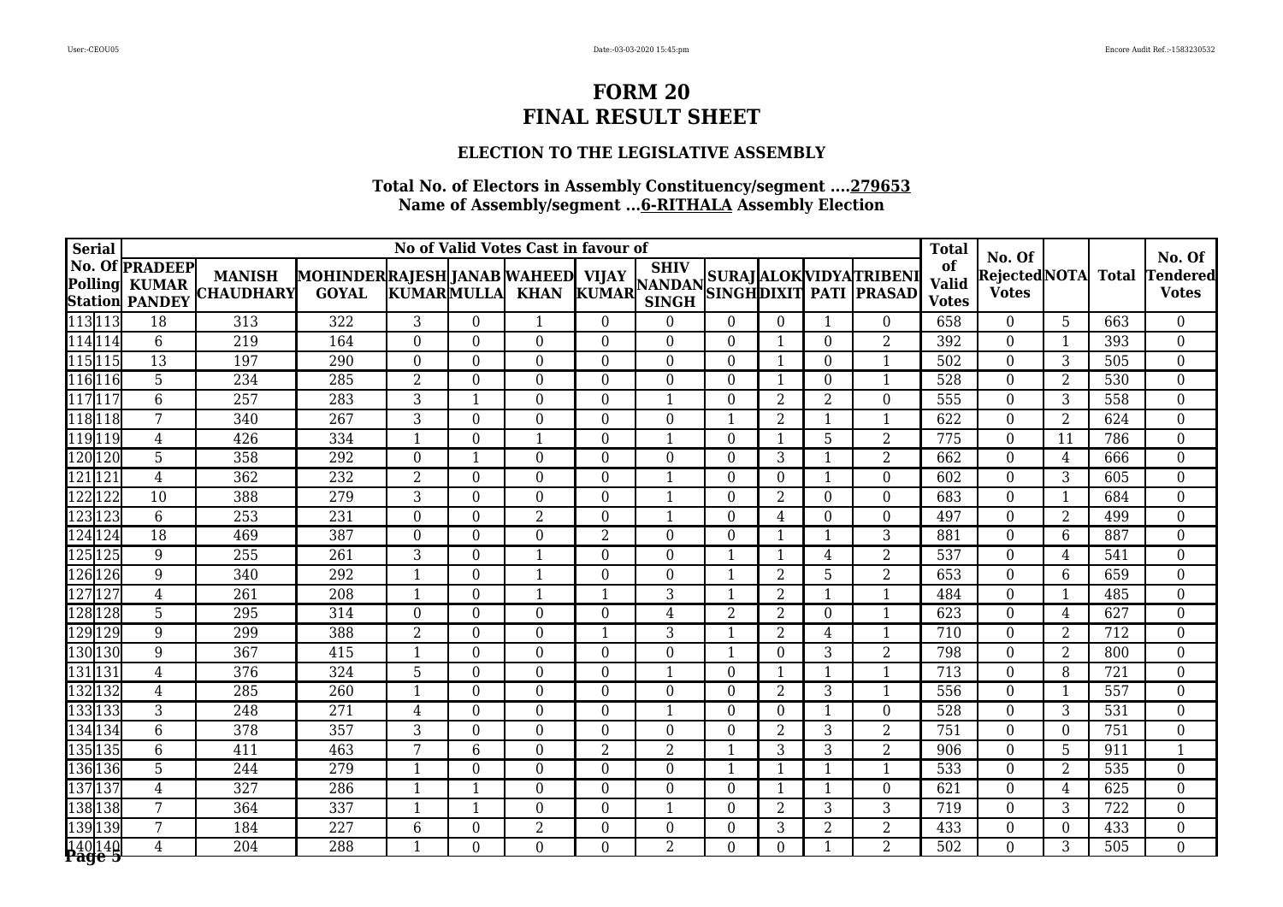### **ELECTION TO THE LEGISLATIVE ASSEMBLY**

| <b>Serial</b>         |                  |                                                                |                                   |                                                    |                          |                | No of Valid Votes Cast in favour of |                |                |                  |                |                  |                                       | <b>Total</b>                       |                                           |                |              |                                           |
|-----------------------|------------------|----------------------------------------------------------------|-----------------------------------|----------------------------------------------------|--------------------------|----------------|-------------------------------------|----------------|----------------|------------------|----------------|------------------|---------------------------------------|------------------------------------|-------------------------------------------|----------------|--------------|-------------------------------------------|
| <b>Polling</b>        |                  | No. Of <b>PRADEEP</b><br><b>KUMAR</b><br><b>Station PANDEY</b> | <b>MANISH</b><br><b>CHAUDHARY</b> | MOHINDERRAJESH JANAB WAHEED  VIJAY<br><b>GOYAL</b> | <b>KUMARMULLA</b>        |                | <b>KHAN</b>                         |                | <b>SINGH</b>   |                  |                |                  | VIJAY MANDAN SURAJ ALOK VIDYA TRIBENI | of<br><b>Valid</b><br><b>Votes</b> | No. Of<br> Rejected NOTA <br><b>Votes</b> |                | <b>Total</b> | No. Of<br><b>Tendered</b><br><b>Votes</b> |
| 113 113               |                  | 18                                                             | 313                               | 322                                                | 3                        | $\Omega$       | 1                                   | $\Omega$       | $\theta$       | $\overline{0}$   | $\theta$       | 1                | $\theta$                              | 658                                | $\Omega$                                  | 5              | 663          | $\overline{0}$                            |
| $\sqrt{114}114$       |                  | 6                                                              | $\overline{219}$                  | 164                                                | $\Omega$                 | $\Omega$       | $\Omega$                            | 0              | $\Omega$       | $\overline{0}$   | 1              | $\Omega$         | $\overline{2}$                        | $\overline{392}$                   | $\Omega$                                  | $\mathbf{1}$   | 393          | $\overline{0}$                            |
| $\overline{115}$  115 |                  | $\overline{13}$                                                | 197                               | 290                                                | $\Omega$                 | $\overline{0}$ | $\Omega$                            | $\Omega$       | $\theta$       | $\theta$         | 1              | $\theta$         | $\mathbf{1}$                          | 502                                | $\Omega$                                  | 3              | 505          | $\overline{0}$                            |
| 116116                |                  | $\overline{5}$                                                 | 234                               | 285                                                | $\overline{2}$           | $\Omega$       | $\Omega$                            | $\Omega$       | $\theta$       | $\overline{0}$   | $\mathbf{1}$   | $\theta$         | 1                                     | 528                                | $\theta$                                  | $\overline{2}$ | 530          | $\boldsymbol{0}$                          |
| $117$ 117             |                  | 6                                                              | 257                               | 283                                                | 3                        | -1             | 0                                   | 0              | $\mathbf{1}$   | $\theta$         | $\overline{2}$ | $\overline{2}$   | $\Omega$                              | 555                                | $\theta$                                  | 3              | 558          | $\boldsymbol{0}$                          |
| 118118                |                  | 7                                                              | 340                               | 267                                                | 3                        | $\Omega$       | $\theta$                            | $\Omega$       | $\theta$       | 1                | $\overline{2}$ | -1               | 1                                     | 622                                | $\theta$                                  | 2              | 624          | $\overline{0}$                            |
| 119119                |                  | $\overline{4}$                                                 | 426                               | 334                                                |                          | $\overline{0}$ | 1                                   | $\Omega$       | -1             | $\overline{0}$   | $\mathbf{1}$   | 5                | $\overline{2}$                        | 775                                | $\Omega$                                  | 11             | 786          | $\overline{0}$                            |
| 120 120               |                  | $\overline{5}$                                                 | 358                               | 292                                                | $\Omega$                 | $\mathbf{1}$   | $\Omega$                            | 0              | $\overline{0}$ | $\boldsymbol{0}$ | $\overline{3}$ | $\mathbf{1}$     | $\overline{2}$                        | 662                                | $\overline{0}$                            | $\overline{4}$ | 666          | $\overline{0}$                            |
| 121121                |                  | $\overline{4}$                                                 | 362                               | 232                                                | $\overline{2}$           | $\Omega$       | $\Omega$                            | $\Omega$       | $\mathbf{1}$   | $\boldsymbol{0}$ | $\theta$       | $\mathbf{1}$     | $\Omega$                              | 602                                | $\theta$                                  | 3              | 605          | $\boldsymbol{0}$                          |
| 122                   | $\overline{122}$ | 10                                                             | 388                               | 279                                                | 3                        | $\theta$       | $\Omega$                            | $\Omega$       | -1             | $\theta$         | 2              | $\Omega$         | $\Omega$                              | 683                                | $\theta$                                  | 1              | 684          | $\boldsymbol{0}$                          |
| 123123                |                  | 6                                                              | 253                               | 231                                                | $\Omega$                 | $\Omega$       | $\overline{2}$                      | 0              | $\mathbf{1}$   | $\overline{0}$   | $\overline{4}$ | $\Omega$         | $\theta$                              | 497                                | $\Omega$                                  | 2              | 499          | $\overline{0}$                            |
| 124                   | 124              | $\overline{18}$                                                | 469                               | 387                                                | $\Omega$                 | $\overline{0}$ | $\Omega$                            | $\overline{2}$ | $\overline{0}$ | $\overline{0}$   | $\mathbf{1}$   |                  | $\overline{3}$                        | 881                                | $\theta$                                  | 6              | 887          | $\overline{0}$                            |
| 125125                |                  | 9                                                              | 255                               | 261                                                | 3                        | $\overline{0}$ | $\overline{\mathbf{1}}$             | $\Omega$       | $\overline{0}$ | 1                | $\mathbf{1}$   | 4                | $\overline{2}$                        | 537                                | $\Omega$                                  | 4              | 541          | $\boldsymbol{0}$                          |
| 126                   | 126              | 9                                                              | 340                               | 292                                                | $\overline{\phantom{a}}$ | $\Omega$       | -1                                  | 0              | $\theta$       | 1                | 2              | 5                | $\overline{2}$                        | 653                                | $\Omega$                                  | 6              | 659          | $\overline{0}$                            |
| 127                   | 127              | $\overline{4}$                                                 | 261                               | $\overline{208}$                                   | -1                       | $\Omega$       | 1                                   |                | 3              | $\mathbf{1}$     | 2              | $\mathbf 1$      | 1                                     | 484                                | $\Omega$                                  | $\mathbf{1}$   | 485          | $\overline{0}$                            |
| 128                   | 128              | 5                                                              | 295                               | 314                                                | $\theta$                 | $\overline{0}$ | $\theta$                            | 0              | $\overline{4}$ | $\overline{2}$   | $\overline{2}$ | $\boldsymbol{0}$ | $\mathbf{1}$                          | 623                                | $\overline{0}$                            | 4              | 627          | $\overline{0}$                            |
| 129129                |                  | 9                                                              | 299                               | 388                                                | $\overline{2}$           | $\overline{0}$ | $\Omega$                            |                | 3              | $\mathbf{1}$     | $\overline{2}$ | 4                | $\mathbf{1}$                          | 710                                | $\overline{0}$                            | $\overline{2}$ | 712          | $\overline{0}$                            |
| 130 130               |                  | $9\,$                                                          | 367                               | 415                                                |                          | $\overline{0}$ | 0                                   | 0              | $\Omega$       | $\mathbf{1}$     | $\theta$       | 3                | $\overline{2}$                        | 798                                | $\theta$                                  | $\overline{2}$ | 800          | $\boldsymbol{0}$                          |
| 131131                |                  | $\overline{4}$                                                 | 376                               | 324                                                | 5                        | $\Omega$       | $\Omega$                            | $\Omega$       | $\mathbf{1}$   | $\overline{0}$   | $\mathbf{1}$   |                  | 1                                     | 713                                | $\theta$                                  | 8              | 721          | $\overline{0}$                            |
| 1321                  | $\overline{132}$ | 4                                                              | 285                               | $\overline{260}$                                   | -1                       | $\theta$       | $\theta$                            | $\Omega$       | $\overline{0}$ | $\overline{0}$   | 2              | 3                | 1                                     | 556                                | $\boldsymbol{0}$                          | 1              | 557          | $\boldsymbol{0}$                          |
| 133133                |                  | 3                                                              | 248                               | 271                                                | $\overline{4}$           | $\overline{0}$ | $\overline{0}$                      | 0              | $\mathbf{1}$   | $\boldsymbol{0}$ | $\overline{0}$ | 1                | $\boldsymbol{0}$                      | 528                                | $\overline{0}$                            | 3              | 531          | $\overline{0}$                            |
| 134 134               |                  | $\overline{6}$                                                 | 378                               | 357                                                | 3                        | $\overline{0}$ | 0                                   | 0              | $\theta$       | $\theta$         | $\overline{2}$ | 3                | $\overline{2}$                        | 751                                | $\theta$                                  | $\Omega$       | 751          | $\boldsymbol{0}$                          |
| 135                   | 135              | $\overline{6}$                                                 | 411                               | 463                                                | 7                        | 6              | $\Omega$                            | $\overline{2}$ | $\overline{2}$ | 1                | 3              | 3                | $\overline{2}$                        | 906                                | $\theta$                                  | 5.             | 911          | $\mathbf{1}$                              |
| 136136                |                  | $\overline{5}$                                                 | 244                               | 279                                                |                          | $\Omega$       | $\Omega$                            | $\Omega$       | $\theta$       | 1                | 1              |                  | 1                                     | 533                                | $\theta$                                  | 2              | 535          | $\boldsymbol{0}$                          |
| 137 137               |                  | $\overline{4}$                                                 | 327                               | 286                                                |                          | -1             | $\Omega$                            | 0              | $\theta$       | $\boldsymbol{0}$ | $\mathbf{1}$   | $\mathbf 1$      | $\overline{0}$                        | 621                                | $\theta$                                  | 4              | 625          | $\boldsymbol{0}$                          |
| 138138                |                  | 7                                                              | 364                               | 337                                                | $\mathbf 1$              | $\mathbf 1$    | $\theta$                            | $\Omega$       | 1              | $\overline{0}$   | 2              | 3                | 3                                     | 719                                | $\overline{0}$                            | 3              | 722          | $\boldsymbol{0}$                          |
| 139139                |                  | 7                                                              | 184                               | 227                                                | 6                        | $\Omega$       | $\overline{2}$                      | $\Omega$       | $\theta$       | $\overline{0}$   | 3              | 2                | $\overline{2}$                        | 433                                | $\theta$                                  | $\Omega$       | 433          | $\overline{0}$                            |
| 140 140               |                  | $\overline{4}$                                                 | 204                               | 288                                                |                          | $\Omega$       | 0                                   | 0              | $\overline{2}$ | $\Omega$         | $\Omega$       |                  | $\overline{2}$                        | $\overline{502}$                   | $\Omega$                                  | 3              | 505          | $\overline{0}$                            |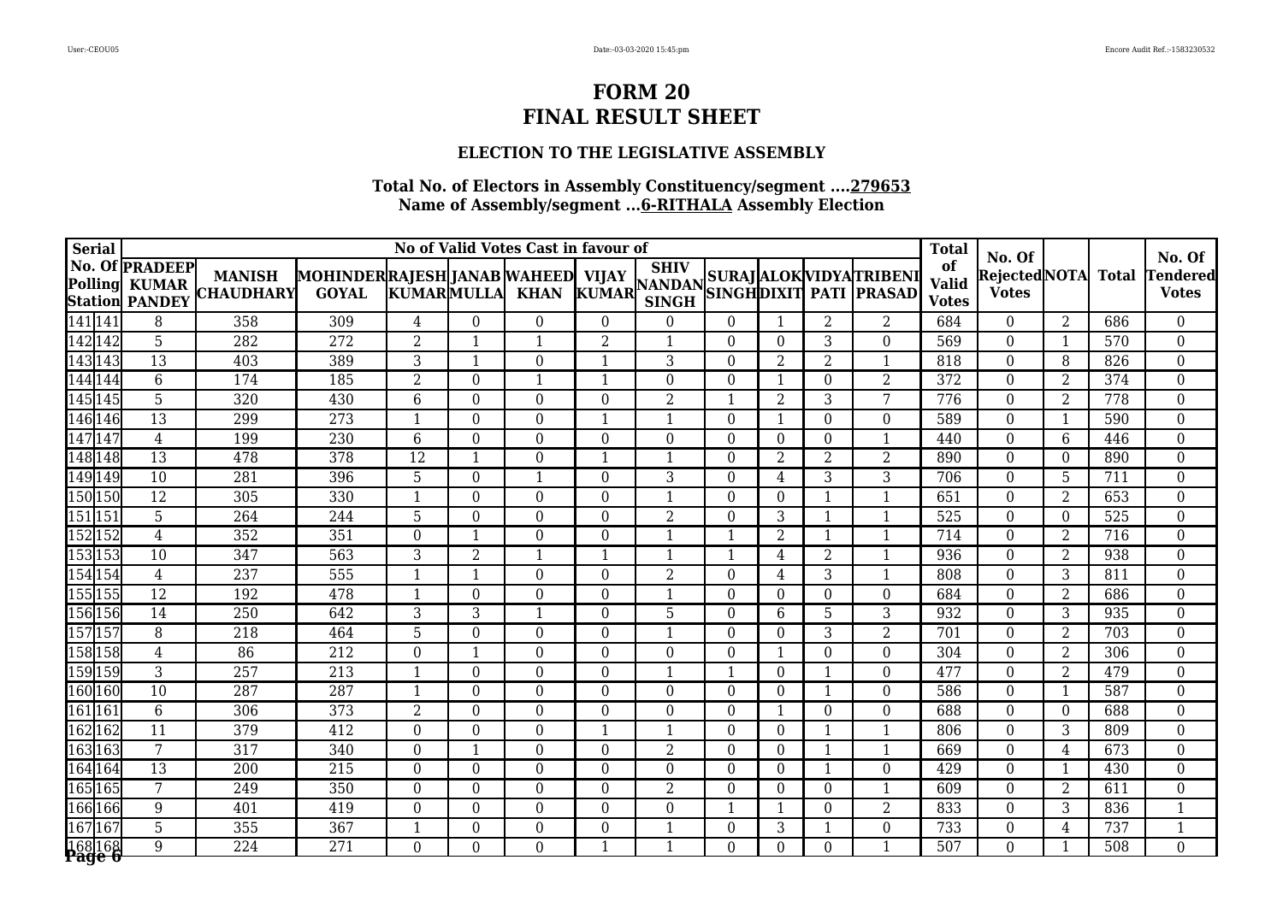### **ELECTION TO THE LEGISLATIVE ASSEMBLY**

| <b>Serial</b>  |     |                                                                |                                   |                                                     |                   |                  | No of Valid Votes Cast in favour of |                |                |                  |                  |                |                                      | <b>Total</b>                       |                                           |                |                  |                                           |
|----------------|-----|----------------------------------------------------------------|-----------------------------------|-----------------------------------------------------|-------------------|------------------|-------------------------------------|----------------|----------------|------------------|------------------|----------------|--------------------------------------|------------------------------------|-------------------------------------------|----------------|------------------|-------------------------------------------|
| <b>Polling</b> |     | No. Of <b>PRADEEP</b><br><b>KUMAR</b><br><b>Station PANDEY</b> | <b>MANISH</b><br><b>CHAUDHARY</b> | MOHINDER RAJESH JANAB WAHEED  VIJAY<br><b>GOYAL</b> | <b>KUMARMULLA</b> |                  | <b>KHAN</b>                         |                | <b>SINGH</b>   |                  |                  |                | VIJAY MANDAN SURAJ ALOK VIDYATRIBENI | of<br><b>Valid</b><br><b>Votes</b> | No. Of<br> Rejected NOTA <br><b>Votes</b> |                | <b>Total</b>     | No. Of<br><b>Tendered</b><br><b>Votes</b> |
| 141 141        |     | 8                                                              | 358                               | 309                                                 | $\overline{4}$    | $\Omega$         | $\theta$                            | $\Omega$       | $\theta$       | $\theta$         | 1                | 2              | 2                                    | 684                                | $\Omega$                                  | 2              | 686              | $\overline{0}$                            |
| 142 142        |     | $\overline{5}$                                                 | 282                               | $\overline{272}$                                    | $\overline{2}$    | -1               | -1                                  | $\overline{2}$ | 1              | $\overline{0}$   | $\Omega$         | 3              | $\Omega$                             | $\overline{569}$                   | $\Omega$                                  | $\mathbf{1}$   | $\overline{570}$ | $\overline{0}$                            |
| 143143         |     | $\overline{13}$                                                | 403                               | 389                                                 | 3                 | $\mathbf{1}$     | $\Omega$                            |                | 3              | $\theta$         | $\overline{2}$   | $\overline{2}$ | 1                                    | 818                                | $\Omega$                                  | 8              | 826              | $\overline{0}$                            |
| 144            | 144 | $\overline{6}$                                                 | 174                               | 185                                                 | $\overline{2}$    | $\Omega$         | -1                                  |                | $\theta$       | $\boldsymbol{0}$ | 1                | $\theta$       | $\overline{2}$                       | 372                                | $\theta$                                  | $\overline{2}$ | 374              | $\boldsymbol{0}$                          |
| 145 145        |     | $\overline{5}$                                                 | 320                               | 430                                                 | 6                 | $\overline{0}$   | 0                                   | 0              | $\overline{2}$ | $\mathbf{1}$     | $\overline{2}$   | 3              | 7                                    | 776                                | $\theta$                                  | $\overline{2}$ | 778              | $\boldsymbol{0}$                          |
| 146 146        |     | 13                                                             | 299                               | 273                                                 | -1                | $\Omega$         | $\theta$                            |                | $\mathbf{1}$   | $\overline{0}$   | 1                | $\theta$       | $\Omega$                             | 589                                | $\theta$                                  | $\mathbf 1$    | 590              | $\overline{0}$                            |
| 147147         |     | $\overline{4}$                                                 | 199                               | 230                                                 | 6                 | $\overline{0}$   | $\theta$                            | $\Omega$       | $\theta$       | $\overline{0}$   | $\overline{0}$   | $\theta$       | 1                                    | 440                                | $\Omega$                                  | 6              | 446              | $\overline{0}$                            |
| 148 148        |     | $\overline{13}$                                                | 478                               | 378                                                 | $\overline{12}$   | $\mathbf{1}$     | $\overline{0}$                      |                | $\mathbf{1}$   | $\boldsymbol{0}$ | $\overline{2}$   | $\overline{2}$ | $\overline{2}$                       | 890                                | $\overline{0}$                            | $\theta$       | 890              | $\overline{0}$                            |
| 149 149        |     | 10                                                             | 281                               | 396                                                 | 5                 | $\Omega$         | 1                                   | 0              | 3              | $\theta$         | 4                | 3              | $\overline{3}$                       | 706                                | $\theta$                                  | 5              | 711              | $\overline{0}$                            |
| 150 150        |     | $\overline{12}$                                                | 305                               | 330                                                 |                   | $\theta$         | $\Omega$                            | 0              | -1             | $\theta$         | $\theta$         |                | 1                                    | 651                                | $\theta$                                  | 2              | 653              | 0                                         |
| 151151         |     | $\overline{5}$                                                 | 264                               | 244                                                 | 5                 | $\overline{0}$   | $\Omega$                            | 0              | 2              | $\overline{0}$   | 3                |                | $\mathbf{1}$                         | 525                                | $\Omega$                                  | $\Omega$       | 525              | $\overline{0}$                            |
| 152 152        |     | $\overline{4}$                                                 | 352                               | 351                                                 | $\Omega$          | -1               | $\Omega$                            | 0              | $\mathbf{1}$   | $\mathbf{1}$     | $\overline{2}$   | -1             | $\mathbf{1}$                         | 714                                | $\overline{0}$                            | $\overline{2}$ | 716              | $\overline{0}$                            |
| 153 153        |     | 10                                                             | 347                               | 563                                                 | 3                 | $\overline{2}$   | $\overline{1}$                      |                | $\mathbf{1}$   | 1                | $\overline{4}$   | $\overline{2}$ |                                      | 936                                | $\Omega$                                  | $\overline{2}$ | 938              | $\boldsymbol{0}$                          |
| 154 154        |     | $\overline{4}$                                                 | 237                               | 555                                                 | $\mathbf 1$       |                  | $\Omega$                            | 0              | $\overline{2}$ | $\theta$         | 4                | 3              | 1                                    | 808                                | $\Omega$                                  | 3              | 811              | $\overline{0}$                            |
| 155 155        |     | $\overline{12}$                                                | 192                               | 478                                                 | -1                | $\Omega$         | 0                                   | 0              | $\mathbf 1$    | $\theta$         | $\Omega$         | $\Omega$       | $\Omega$                             | 684                                | $\Omega$                                  | 2              | 686              | $\overline{0}$                            |
| 156 156        |     | $\overline{14}$                                                | 250                               | 642                                                 | 3                 | 3                | $\overline{\mathbf{1}}$             | 0              | 5              | $\boldsymbol{0}$ | 6                | 5              | 3                                    | 932                                | $\overline{0}$                            | 3              | 935              | $\overline{0}$                            |
| 157157         |     | 8                                                              | 218                               | 464                                                 | 5                 | $\overline{0}$   | $\Omega$                            | $\Omega$       | $\mathbf{1}$   | $\overline{0}$   | $\Omega$         | 3              | $\overline{2}$                       | 701                                | $\overline{0}$                            | $\overline{2}$ | 703              | $\overline{0}$                            |
| 158 158        |     | $\overline{4}$                                                 | 86                                | 212                                                 | 0                 | $\mathbf 1$      | $\Omega$                            | 0              | $\theta$       | $\theta$         | $\mathbf{1}$     | $\theta$       | $\Omega$                             | 304                                | $\theta$                                  | $\overline{2}$ | 306              | $\boldsymbol{0}$                          |
| 159 159        |     | 3                                                              | 257                               | 213                                                 | 1                 | $\Omega$         | $\Omega$                            | 0              | $\mathbf{1}$   | 1                | $\boldsymbol{0}$ |                | $\Omega$                             | 477                                | $\theta$                                  | $\overline{2}$ | 479              | $\overline{0}$                            |
| 160 160        |     | 10                                                             | 287                               | 287                                                 | -1                | $\theta$         | $\theta$                            | $\Omega$       | $\overline{0}$ | $\boldsymbol{0}$ | $\theta$         | -1             | $\overline{0}$                       | 586                                | $\boldsymbol{0}$                          | $\mathbf{1}$   | 587              | $\boldsymbol{0}$                          |
| 161161         |     | $6\phantom{.}6$                                                | 306                               | 373                                                 | 2                 | $\overline{0}$   | $\overline{0}$                      | 0              | $\overline{0}$ | $\boldsymbol{0}$ | $\mathbf{1}$     | $\theta$       | $\boldsymbol{0}$                     | 688                                | $\overline{0}$                            | $\theta$       | 688              | $\overline{0}$                            |
| 162 162        |     | $\overline{11}$                                                | 379                               | 412                                                 | $\Omega$          | $\overline{0}$   | 0                                   |                | 1              | $\theta$         | $\theta$         | $\mathbf{1}$   | $\mathbf{1}$                         | 806                                | $\theta$                                  | 3              | 809              | $\boldsymbol{0}$                          |
| 163163         |     | 7                                                              | 317                               | 340                                                 | 0                 | $\mathbf 1$      | $\Omega$                            | $\Omega$       | $\overline{2}$ | $\theta$         | $\theta$         |                | 1                                    | 669                                | $\theta$                                  | 4              | 673              | $\boldsymbol{0}$                          |
| 164            | 164 | $\overline{13}$                                                | 200                               | 215                                                 | $\Omega$          | $\overline{0}$   | $\Omega$                            | $\Omega$       | $\Omega$       | $\theta$         | $\theta$         | $\mathbf 1$    | $\Omega$                             | 429                                | $\theta$                                  | -1             | 430              | $\boldsymbol{0}$                          |
| 165 165        |     | 7                                                              | 249                               | 350                                                 | $\theta$          | $\boldsymbol{0}$ | $\Omega$                            | 0              | $\overline{2}$ | $\boldsymbol{0}$ | $\theta$         | $\theta$       | 1                                    | 609                                | $\theta$                                  | $\overline{2}$ | 611              | $\boldsymbol{0}$                          |
| 166 166        |     | 9                                                              | 401                               | 419                                                 | $\Omega$          | $\Omega$         | $\theta$                            | $\Omega$       | $\overline{0}$ | $\mathbf{1}$     | $\mathbf{1}$     | $\theta$       | $\overline{2}$                       | 833                                | $\overline{0}$                            | 3              | 836              | $\mathbf 1$                               |
| 167167         |     | 5                                                              | 355                               | 367                                                 | -1                | $\Omega$         | $\Omega$                            | $\Omega$       |                | $\boldsymbol{0}$ | 3                |                | $\Omega$                             | 733                                | $\theta$                                  | 4              | 737              | $\mathbf{1}$                              |
| 168 168        |     | 9                                                              | $\overline{224}$                  | 271                                                 | $\Omega$          | $\Omega$         | 0                                   |                |                | $\Omega$         | $\Omega$         | $\Omega$       |                                      | 507                                | $\Omega$                                  | -1             | $\overline{508}$ | $\overline{0}$                            |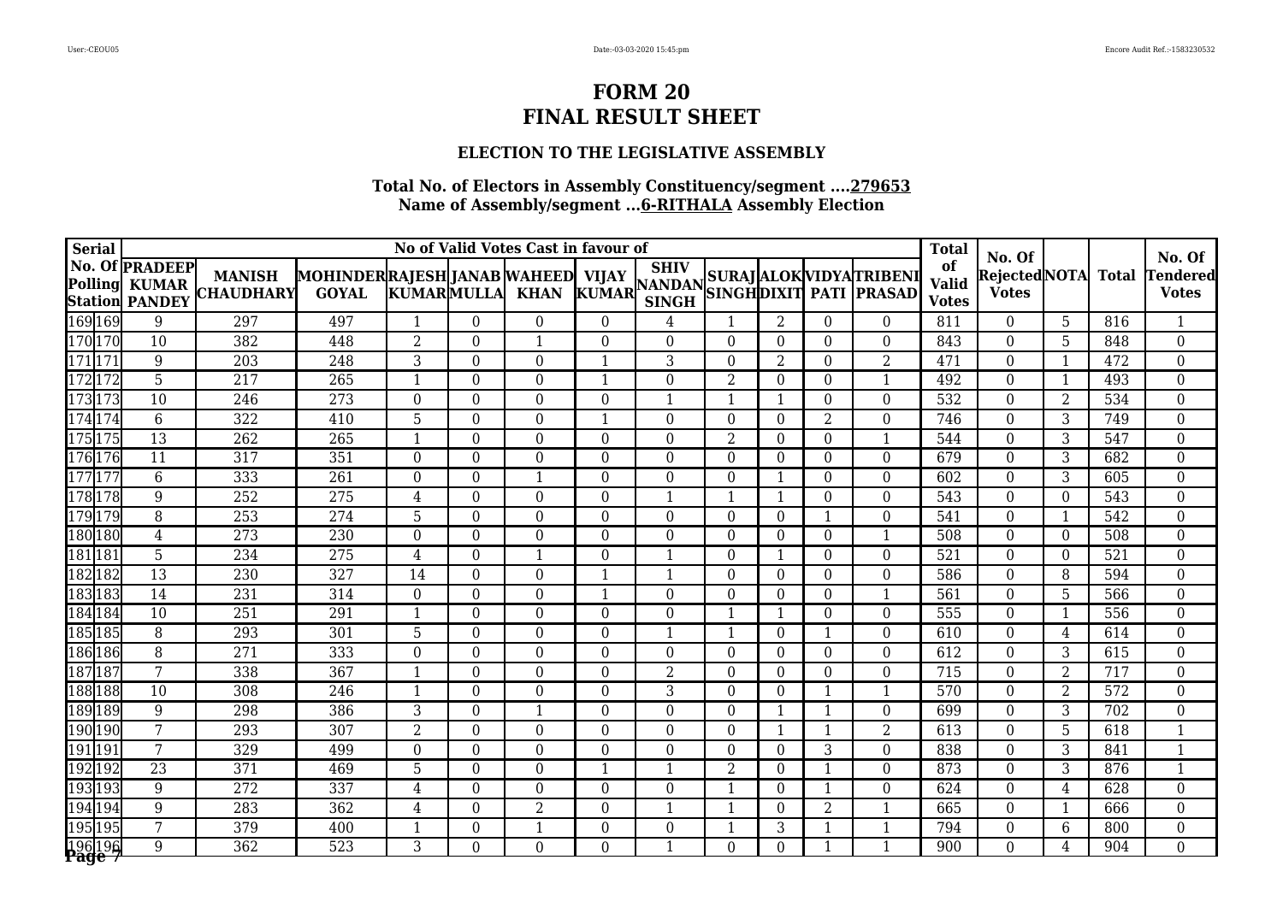### **ELECTION TO THE LEGISLATIVE ASSEMBLY**

| <b>Serial</b> |                                                |                 |                                   |                                                     |                          |                  | No of Valid Votes Cast in favour of |          |                |                  |                  |                |                                     | <b>Total</b>                       |                                         |                |              |                                    |
|---------------|------------------------------------------------|-----------------|-----------------------------------|-----------------------------------------------------|--------------------------|------------------|-------------------------------------|----------|----------------|------------------|------------------|----------------|-------------------------------------|------------------------------------|-----------------------------------------|----------------|--------------|------------------------------------|
| Polling       | No. Of <b>PRADEEP</b><br><b>Station PANDEY</b> | <b>KUMAR</b>    | <b>MANISH</b><br><b>CHAUDHARY</b> | MOHINDER RAJESH JANAB WAHEED  VIJAY<br><b>GOYAL</b> | <b>KUMARMULLA</b>        |                  | <b>KHAN</b>                         |          | <b>SINGH</b>   |                  |                  |                | VIJAY SILLY SURAJ ALOK VIDYATRIBENI | of<br><b>Valid</b><br><b>Votes</b> | No. Of<br>Rejected NOTA<br><b>Votes</b> |                | <b>Total</b> | No. Of<br>Tendered<br><b>Votes</b> |
| 169 169       |                                                | 9               | 297                               | 497                                                 | 1                        | $\theta$         | $\Omega$                            | $\Omega$ | 4              | $\mathbf{1}$     | 2                | $\theta$       | $\theta$                            | 811                                | $\Omega$                                | 5              | 816          | $\mathbf{1}$                       |
| 170170        |                                                | 10              | 382                               | 448                                                 | $\overline{2}$           | $\Omega$         | $\mathbf{1}$                        | 0        | $\Omega$       | $\theta$         | $\Omega$         | $\Omega$       | $\Omega$                            | 843                                | $\Omega$                                | 5              | 848          | $\overline{0}$                     |
| 1711171       |                                                | 9               | $\overline{203}$                  | $\overline{248}$                                    | 3                        | $\Omega$         | $\Omega$                            |          | 3              | $\theta$         | $\overline{2}$   | $\theta$       | $\overline{2}$                      | 471                                | $\Omega$                                |                | 472          | $\overline{0}$                     |
|               | $\overline{72}$                                | $\overline{5}$  | $\overline{217}$                  | $\overline{265}$                                    |                          | $\overline{0}$   | $\Omega$                            |          | $\Omega$       | $\overline{2}$   | $\overline{0}$   | $\theta$       | $\mathbf{1}$                        | 492                                | $\theta$                                | $\mathbf 1$    | 493          | $\overline{0}$                     |
| 173           | 173                                            | 10              | 246                               | 273                                                 | $\Omega$                 | $\overline{0}$   | 0                                   | 0        | 1              | $\mathbf{1}$     | $\mathbf{1}$     | $\theta$       | $\Omega$                            | 532                                | $\theta$                                | $\overline{2}$ | 534          | $\overline{0}$                     |
| 174           | 174                                            | 6               | 322                               | 410                                                 | 5                        | $\boldsymbol{0}$ | $\Omega$                            |          | $\overline{0}$ | $\boldsymbol{0}$ | $\boldsymbol{0}$ | 2              | $\overline{0}$                      | 746                                | $\theta$                                | 3              | 749          | $\overline{0}$                     |
|               | 175                                            | 13              | $\overline{262}$                  | 265                                                 |                          | $\Omega$         | $\Omega$                            | $\Omega$ | $\theta$       | $\overline{2}$   | $\Omega$         | $\Omega$       | 1                                   | 544                                | $\theta$                                | 3              | 547          | $\boldsymbol{0}$                   |
| 176           | 176                                            | $\overline{11}$ | 317                               | 351                                                 | $\Omega$                 | $\Omega$         | $\Omega$                            | 0        | $\overline{0}$ | $\overline{0}$   | $\theta$         | $\theta$       | $\theta$                            | 679                                | $\Omega$                                | 3              | 682          | $\overline{0}$                     |
| 177177        |                                                | $\overline{6}$  | 333                               | 261                                                 | $\Omega$                 | $\overline{0}$   | 1                                   | $\Omega$ | $\theta$       | $\overline{0}$   | $\mathbf{1}$     | $\theta$       | $\Omega$                            | 602                                | $\theta$                                | 3              | 605          | $\overline{0}$                     |
| 17811         | 178                                            | $\overline{9}$  | 252                               | 275                                                 | 4                        | $\overline{0}$   | $\Omega$                            | 0        | $\mathbf{1}$   | 1                | 1                | $\Omega$       | $\boldsymbol{0}$                    | 543                                | $\theta$                                | $\Omega$       | 543          | $\overline{0}$                     |
| 179179        |                                                | 8               | 253                               | 274                                                 | 5                        | $\Omega$         | $\Omega$                            | $\Omega$ | $\theta$       | $\theta$         | $\theta$         | $\mathbf{1}$   | $\theta$                            | 541                                | $\Omega$                                | $\mathbf{1}$   | 542          | 0                                  |
| 180 180       |                                                | $\overline{4}$  | 273                               | 230                                                 | $\Omega$                 | $\Omega$         | $\Omega$                            | 0        | $\Omega$       | $\theta$         | $\Omega$         | $\Omega$       | 1                                   | 508                                | $\Omega$                                | $\Omega$       | 508          | $\boldsymbol{0}$                   |
| 181181        |                                                | 5               | 234                               | 275                                                 | 4                        | $\Omega$         | $\mathbf{1}$                        | $\Omega$ | $\mathbf{1}$   | $\theta$         | 1                | $\Omega$       | $\theta$                            | 521                                | $\Omega$                                | $\Omega$       | 521          | $\mathbf 0$                        |
| 182182        |                                                | $\overline{13}$ | 230                               | 327                                                 | 14                       | $\Omega$         | $\Omega$                            |          |                | $\boldsymbol{0}$ | $\Omega$         | $\theta$       | $\boldsymbol{0}$                    | 586                                | $\theta$                                | 8              | 594          | $\mathbf 0$                        |
| 183183        |                                                | 14              | 231                               | 314                                                 | $\Omega$                 | $\overline{0}$   | 0                                   |          | $\overline{0}$ | $\boldsymbol{0}$ | $\theta$         | $\theta$       | $\mathbf{1}$                        | 561                                | $\overline{0}$                          | 5              | 566          | $\overline{0}$                     |
| 184184        |                                                | 10              | 251                               | 291                                                 | $\overline{\phantom{a}}$ | $\Omega$         | $\theta$                            | 0        | $\Omega$       | 1                | $\mathbf{1}$     | $\theta$       | $\Omega$                            | 555                                | $\theta$                                | -1             | 556          | $\boldsymbol{0}$                   |
| 185185        |                                                | $\overline{8}$  | 293                               | $\overline{301}$                                    | 5                        | $\Omega$         | $\Omega$                            | $\Omega$ | $\mathbf{1}$   | $\mathbf{1}$     | $\Omega$         |                | $\Omega$                            | 610                                | $\Omega$                                | 4              | 614          | $\overline{0}$                     |
| 186 186       |                                                | $\overline{8}$  | $\overline{271}$                  | 333                                                 | $\Omega$                 | $\Omega$         | 0                                   | 0        | $\Omega$       | $\Omega$         | $\Omega$         | $\Omega$       | $\Omega$                            | $\overline{612}$                   | $\Omega$                                | 3              | 615          | $\overline{0}$                     |
| 187187        |                                                | $\overline{7}$  | 338                               | 367                                                 | $\mathbf 1$              | $\boldsymbol{0}$ | $\Omega$                            | 0        | $\overline{2}$ | $\boldsymbol{0}$ | $\Omega$         | $\theta$       | $\Omega$                            | 715                                | $\theta$                                | $\overline{2}$ | 717          | $\overline{0}$                     |
| 188188        |                                                | 10              | 308                               | 246                                                 | -1                       | $\theta$         | $\theta$                            | $\Omega$ | 3              | $\boldsymbol{0}$ | $\Omega$         |                | 1                                   | 570                                | $\theta$                                | $\overline{2}$ | 572          | $\boldsymbol{0}$                   |
| 189189        |                                                | 9               | 298                               | 386                                                 | 3                        | $\Omega$         | $\mathbf{1}$                        | 0        | $\theta$       | $\theta$         | $\mathbf{1}$     | $\mathbf 1$    | $\theta$                            | 699                                | $\Omega$                                | 3              | 702          | $\boldsymbol{0}$                   |
| 190 190       |                                                | 7               | 293                               | 307                                                 | $\overline{2}$           | $\overline{0}$   | 0                                   | 0        | $\Omega$       | $\overline{0}$   | 1                | $\mathbf 1$    | $\overline{2}$                      | $\overline{613}$                   | $\Omega$                                | $\overline{5}$ | 618          | 1                                  |
| 191191        |                                                | 7               | 329                               | 499                                                 | $\Omega$                 | $\overline{0}$   | $\Omega$                            | 0        | $\theta$       | $\theta$         | $\theta$         | 3              | $\Omega$                            | 838                                | $\Omega$                                | 3              | 841          | $\mathbf{1}$                       |
| 192192        |                                                | $\overline{23}$ | 371                               | 469                                                 | $\overline{5}$           | $\overline{0}$   | $\Omega$                            |          | $\mathbf{1}$   | $\overline{2}$   | $\theta$         |                | $\boldsymbol{0}$                    | 873                                | $\theta$                                | 3              | 876          | $\overline{1}$                     |
| 193193        |                                                | $9\,$           | 272                               | 337                                                 | 4                        | $\overline{0}$   | $\Omega$                            | 0        | $\overline{0}$ | $\mathbf{1}$     | $\Omega$         | -1             | $\overline{0}$                      | 624                                | $\theta$                                | 4              | 628          | $\boldsymbol{0}$                   |
| 194194        |                                                | $9\,$           | 283                               | 362                                                 | 4                        | $\Omega$         | $\overline{2}$                      | $\Omega$ | $\mathbf{1}$   | 1                | $\theta$         | $\overline{2}$ | 1                                   | 665                                | $\Omega$                                | 1              | 666          | $\boldsymbol{0}$                   |
| 195195        |                                                | 7               | 379                               | 400                                                 |                          | $\Omega$         | $\mathbf 1$                         | $\Omega$ | $\theta$       | $\mathbf{1}$     | 3                |                |                                     | 794                                | $\theta$                                | 6              | 800          | $\boldsymbol{0}$                   |
| 196 196       |                                                | 9               | $\overline{362}$                  | $\overline{523}$                                    | 3                        | $\Omega$         | 0                                   | 0        |                | $\Omega$         | $\Omega$         |                |                                     | 900                                | $\Omega$                                | 4              | 904          | $\overline{0}$                     |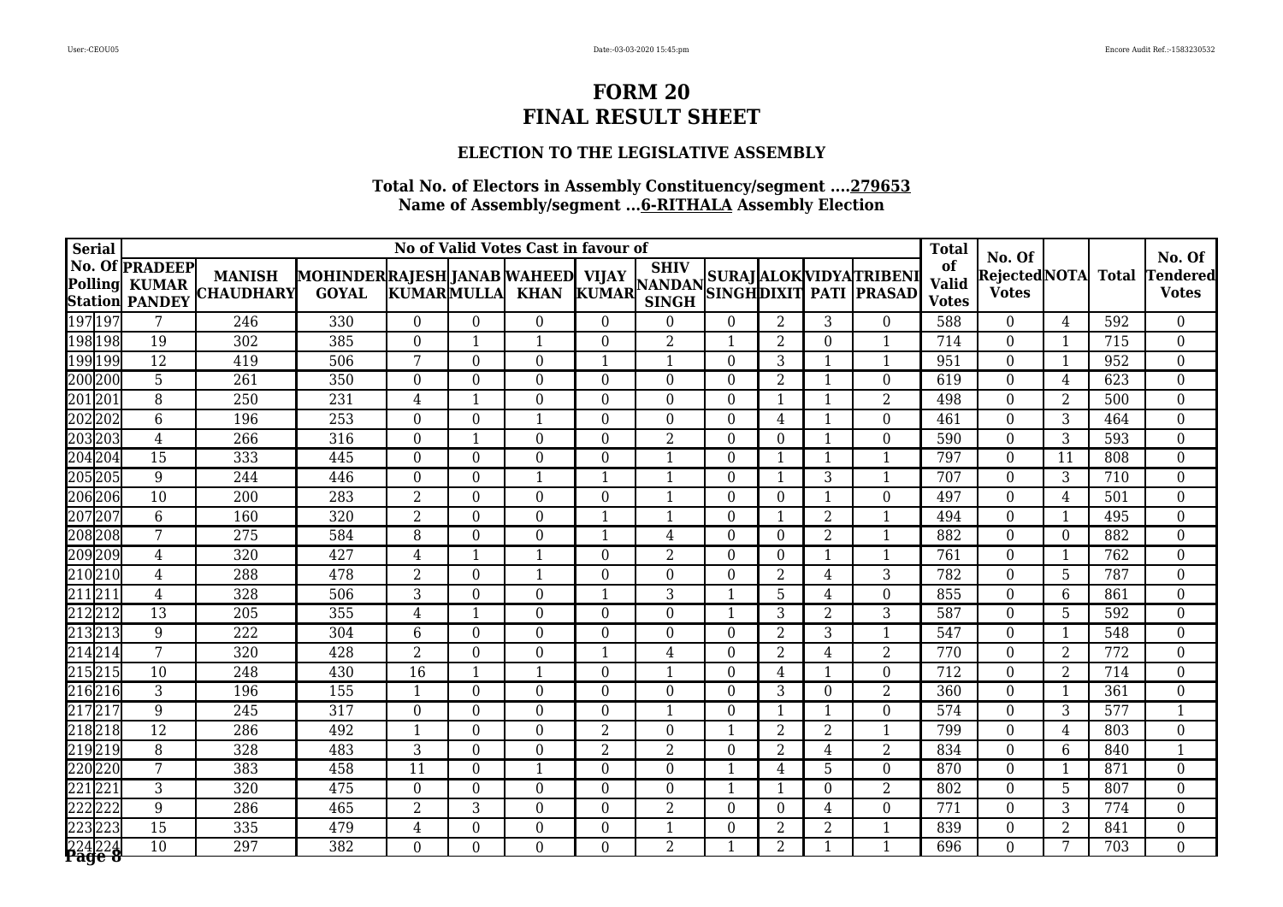### **ELECTION TO THE LEGISLATIVE ASSEMBLY**

| <b>Serial</b>   |       |                                                                |                                   |                                                    |                          |                  | No of Valid Votes Cast in favour of |                |                  |                  |                |                |                                      | <b>Total</b>                       |                                           |                |                  |                                           |
|-----------------|-------|----------------------------------------------------------------|-----------------------------------|----------------------------------------------------|--------------------------|------------------|-------------------------------------|----------------|------------------|------------------|----------------|----------------|--------------------------------------|------------------------------------|-------------------------------------------|----------------|------------------|-------------------------------------------|
| <b>Polling</b>  |       | No. Of <b>PRADEEP</b><br><b>KUMAR</b><br><b>Station PANDEY</b> | <b>MANISH</b><br><b>CHAUDHARY</b> | MOHINDERRAJESH JANAB WAHEED  VIJAY<br><b>GOYAL</b> | <b>KUMARMULLA</b>        |                  | <b>KHAN</b>                         |                | <b>SINGH</b>     |                  |                |                | VIJAY MANDAN SURAJ ALOK VIDYATRIBENI | of<br><b>Valid</b><br><b>Votes</b> | No. Of<br> Rejected NOTA <br><b>Votes</b> |                | <b>Total</b>     | No. Of<br><b>Tendered</b><br><b>Votes</b> |
| 197 197         |       | 7                                                              | 246                               | 330                                                | $\theta$                 | $\Omega$         | $\theta$                            | $\Omega$       | $\theta$         | $\overline{0}$   | 2              | 3              | $\theta$                             | 588                                | $\Omega$                                  | $\overline{4}$ | 592              | $\overline{0}$                            |
| 198 198         |       | $\overline{19}$                                                | $\overline{302}$                  | $\frac{1}{385}$                                    | $\Omega$                 | -1               | -1                                  | 0              | 2                | $\mathbf{1}$     | $\overline{2}$ | $\Omega$       | 1                                    | 714                                | $\Omega$                                  | $\mathbf{1}$   | $\overline{715}$ | $\overline{0}$                            |
| 199199          |       | $\overline{12}$                                                | 419                               | 506                                                | 7                        | $\overline{0}$   | $\Omega$                            |                | $\mathbf{1}$     | $\theta$         | 3              | $\mathbf{1}$   | 1                                    | 951                                | $\Omega$                                  | 1              | 952              | $\overline{0}$                            |
| 200200          |       | $\overline{5}$                                                 | 261                               | 350                                                | $\Omega$                 | $\Omega$         | $\Omega$                            | $\Omega$       | $\theta$         | $\overline{0}$   | $\overline{2}$ |                | $\Omega$                             | 619                                | $\theta$                                  | 4              | 623              | $\boldsymbol{0}$                          |
| 201201          |       | 8                                                              | 250                               | 231                                                | 4                        |                  | 0                                   | 0              | $\Omega$         | $\theta$         | $\mathbf{1}$   |                | $\overline{2}$                       | 498                                | $\theta$                                  | 2              | 500              | $\boldsymbol{0}$                          |
| 202202          |       | 6                                                              | 196                               | 253                                                | $\Omega$                 | $\Omega$         | -1                                  | $\Omega$       | $\overline{0}$   | $\overline{0}$   | 4              |                | $\Omega$                             | 461                                | $\theta$                                  | 3              | 464              | $\overline{0}$                            |
| 203203          |       | $\overline{4}$                                                 | 266                               | 316                                                | $\Omega$                 |                  | $\theta$                            | 0              | $\overline{2}$   | $\overline{0}$   | $\theta$       |                | $\Omega$                             | 590                                | $\theta$                                  | 3              | 593              | $\overline{0}$                            |
| 204 204         |       | $\overline{15}$                                                | 333                               | 445                                                | $\Omega$                 | $\overline{0}$   | $\overline{0}$                      | 0              | $\mathbf{1}$     | $\boldsymbol{0}$ | $\mathbf{1}$   | $\mathbf{1}$   | $\mathbf{1}$                         | 797                                | $\overline{0}$                            | 11             | 808              | $\overline{0}$                            |
| 205 205         |       | $\overline{9}$                                                 | 244                               | 446                                                | $\Omega$                 | $\Omega$         | $\mathbf{1}$                        |                | $\mathbf{1}$     | $\boldsymbol{0}$ | $\mathbf{1}$   | 3              | $\mathbf{1}$                         | 707                                | $\theta$                                  | 3              | 710              | $\boldsymbol{0}$                          |
| 206206          |       | 10                                                             | 200                               | 283                                                | 2                        | $\theta$         | $\Omega$                            | 0              | -1               | $\theta$         | $\Omega$       | -1             | $\Omega$                             | 497                                | $\theta$                                  | 4              | 501              | $\boldsymbol{0}$                          |
| 207207          |       | 6                                                              | 160                               | 320                                                | $\overline{2}$           | $\Omega$         | $\Omega$                            |                | $\mathbf{1}$     | $\overline{0}$   | $\mathbf{1}$   | $\overline{2}$ | $\mathbf{1}$                         | 494                                | $\Omega$                                  | -1             | 495              | $\overline{0}$                            |
| 208 208         |       | $\overline{7}$                                                 | $\overline{275}$                  | 584                                                | 8                        | $\overline{0}$   | $\Omega$                            |                | 4                | $\boldsymbol{0}$ | $\mathbf{0}$   | $\overline{2}$ | $\mathbf{1}$                         | 882                                | $\theta$                                  | $\mathbf{0}$   | 882              | $\overline{0}$                            |
| 209209          |       | $\overline{4}$                                                 | 320                               | 427                                                | 4                        | $\mathbf{1}$     | $\overline{\mathbf{1}}$             | $\Omega$       | $\overline{2}$   | $\overline{0}$   | $\theta$       | $\mathbf{1}$   |                                      | 761                                | $\Omega$                                  | -1             | 762              | $\boldsymbol{0}$                          |
| 210210          |       | $\overline{4}$                                                 | 288                               | 478                                                | 2                        | $\Omega$         | -1                                  | 0              | $\theta$         | $\overline{0}$   | 2              | 4              | 3                                    | 782                                | $\Omega$                                  | 5              | 787              | $\overline{0}$                            |
| 211211          |       | $\overline{4}$                                                 | 328                               | 506                                                | 3                        | $\overline{0}$   | $\Omega$                            |                | 3                | $\mathbf{1}$     | 5              | 4              | $\Omega$                             | 855                                | $\Omega$                                  | 6              | 861              | $\overline{0}$                            |
| $\overline{21}$ | 2 212 | $\overline{13}$                                                | $\overline{205}$                  | 355                                                | 4                        |                  | $\Omega$                            | 0              | $\boldsymbol{0}$ | 1                | 3              | $\overline{2}$ | 3                                    | 587                                | $\boldsymbol{0}$                          | 5              | 592              | $\overline{0}$                            |
| 21              | 3213  | 9                                                              | 222                               | 304                                                | 6                        | $\overline{0}$   | $\Omega$                            | $\Omega$       | $\overline{0}$   | $\overline{0}$   | $\overline{2}$ | 3              | $\mathbf{1}$                         | 547                                | $\overline{0}$                            | -1             | 548              | $\overline{0}$                            |
| 214214          |       | 7                                                              | 320                               | 428                                                | $\overline{2}$           | $\overline{0}$   | 0                                   |                | 4                | $\overline{0}$   | $\overline{2}$ | 4              | $\overline{2}$                       | 770                                | $\theta$                                  | $\overline{2}$ | 772              | $\boldsymbol{0}$                          |
| 21              | 5215  | 10                                                             | $\overline{248}$                  | 430                                                | 16                       | -1               | $\mathbf 1$                         | 0              | $\mathbf{1}$     | $\overline{0}$   | 4              |                | $\boldsymbol{0}$                     | 712                                | $\theta$                                  | $\overline{2}$ | 714              | $\overline{0}$                            |
| 216216          |       | 3                                                              | 196                               | 155                                                | -1                       | $\overline{0}$   | $\theta$                            | $\Omega$       | $\overline{0}$   | $\overline{0}$   | 3              | $\theta$       | $\overline{2}$                       | 360                                | $\boldsymbol{0}$                          | $\mathbf{1}$   | 361              | $\boldsymbol{0}$                          |
| 217217          |       | 9                                                              | 245                               | 317                                                | $\overline{0}$           | $\overline{0}$   | $\overline{0}$                      | 0              | $\mathbf{1}$     | $\boldsymbol{0}$ | $\mathbf{1}$   | $\mathbf{1}$   | $\boldsymbol{0}$                     | 574                                | $\overline{0}$                            | 3              | 577              | $\overline{1}$                            |
| 218218          |       | $\overline{12}$                                                | 286                               | 492                                                | $\overline{\phantom{a}}$ | $\overline{0}$   | 0                                   | 2              | $\theta$         | 1                | $\overline{2}$ | 2              | $\mathbf{1}$                         | 799                                | $\theta$                                  | 4              | 803              | $\boldsymbol{0}$                          |
| 219219          |       | $\overline{8}$                                                 | 328                               | 483                                                | 3                        | $\Omega$         | $\Omega$                            | $\overline{2}$ | $\overline{2}$   | $\theta$         | 2              | $\overline{4}$ | $\overline{2}$                       | 834                                | $\theta$                                  | 6              | 840              | $\mathbf{1}$                              |
| 220220          |       | $\overline{7}$                                                 | 383                               | 458                                                | 11                       | $\overline{0}$   | $\mathbf 1$                         | 0              | $\Omega$         | 1                | 4              | 5              | $\Omega$                             | 870                                | $\theta$                                  | -1             | 871              | $\boldsymbol{0}$                          |
| 221221          |       | $\overline{3}$                                                 | 320                               | 475                                                | $\Omega$                 | $\boldsymbol{0}$ | $\Omega$                            | 0              | $\theta$         | $\mathbf{1}$     | 1              | $\theta$       | $\overline{2}$                       | 802                                | $\theta$                                  | 5              | 807              | $\boldsymbol{0}$                          |
| 222 222         |       | 9                                                              | 286                               | 465                                                | 2                        | 3                | $\theta$                            | $\Omega$       | $\overline{2}$   | $\overline{0}$   | $\theta$       | 4              | $\Omega$                             | 771                                | $\overline{0}$                            | 3              | 774              | $\boldsymbol{0}$                          |
| 223223          |       | 15                                                             | 335                               | 479                                                | 4                        | $\Omega$         | $\Omega$                            | $\Omega$       | $\mathbf 1$      | $\overline{0}$   | 2              | 2              |                                      | 839                                | $\theta$                                  | 2              | 841              | $\overline{0}$                            |
| 224 224         |       | $\overline{10}$                                                | $\overline{297}$                  | $\overline{382}$                                   | 0                        | $\Omega$         | 0                                   | 0              | $\overline{2}$   | $\mathbf 1$      | $\overline{2}$ |                |                                      | 696                                | $\Omega$                                  | 7              | 703              | $\overline{0}$                            |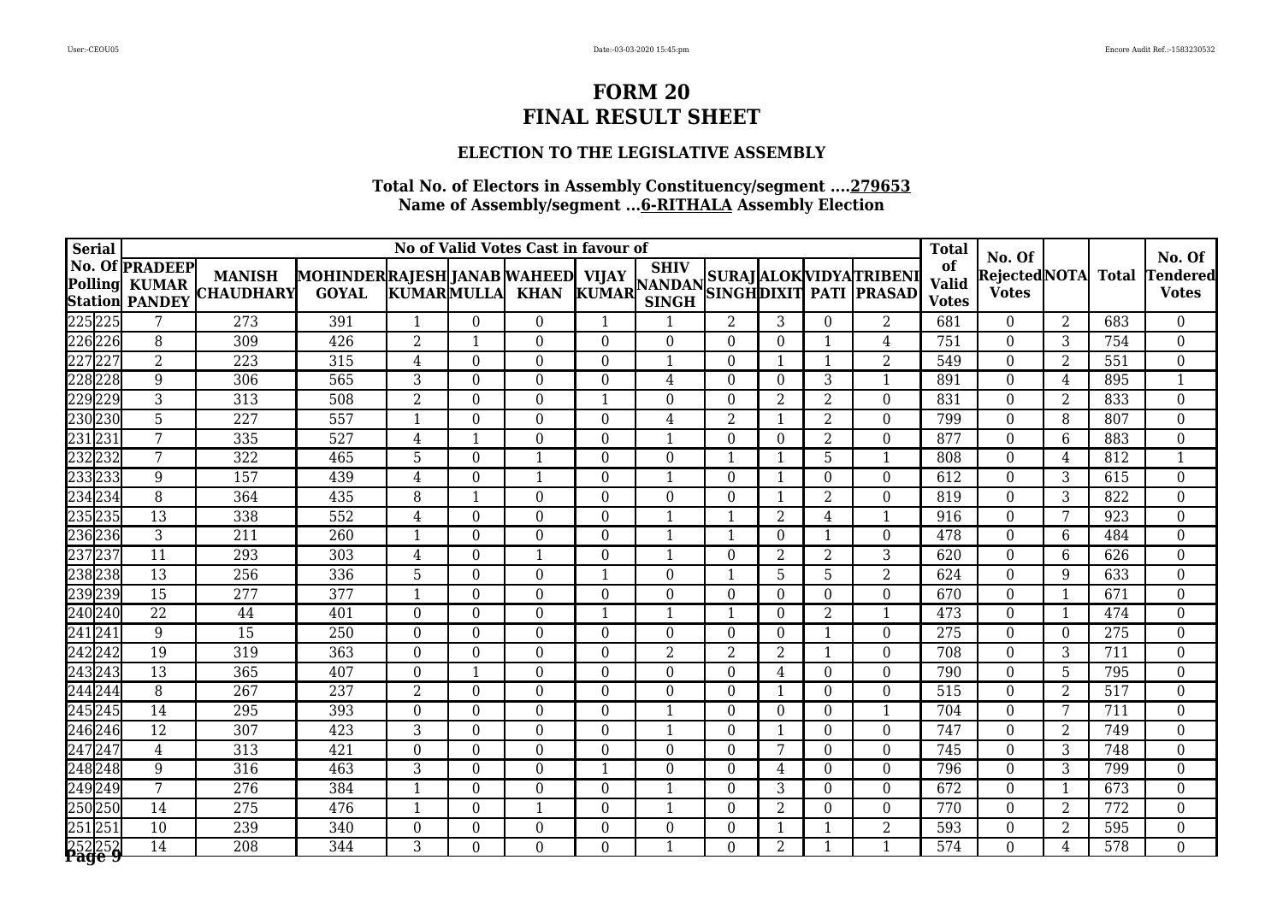### **ELECTION TO THE LEGISLATIVE ASSEMBLY**

| <b>Serial</b>    |                                                                |                                   |                                                   |                   |                  | No of Valid Votes Cast in favour of |             |                                                                                                              |                  |                |                |                          | <b>Total</b>                       |                                         |                 |              |                                           |
|------------------|----------------------------------------------------------------|-----------------------------------|---------------------------------------------------|-------------------|------------------|-------------------------------------|-------------|--------------------------------------------------------------------------------------------------------------|------------------|----------------|----------------|--------------------------|------------------------------------|-----------------------------------------|-----------------|--------------|-------------------------------------------|
| <b>Polling</b>   | <b>No. Of PRADEEP</b><br><b>KUMAR</b><br><b>Station PANDEY</b> | <b>MANISH</b><br><b>CHAUDHARY</b> | MOHINDERRAJESH JANAB WAHEED VIJAY<br><b>GOYAL</b> | <b>KUMARMULLA</b> |                  | <b>KHAN</b>                         |             | <b>SHIV</b><br>KUMAR NANDAN SUNAJ ALUM VIDIALI NIBENI<br>KUMAR CINCII SINGHDIXIT PATI PRASAD<br><b>SINGH</b> |                  |                |                | SURAJ ALOK VIDYA TRIBENI | of<br><b>Valid</b><br><b>Votes</b> | No. Of<br>Rejected NOTA<br><b>Votes</b> |                 | <b>Total</b> | No. Of<br><b>Tendered</b><br><b>Votes</b> |
| 225225           | 7                                                              | 273                               | 391                                               | $\mathbf{1}$      | $\Omega$         | $\boldsymbol{0}$                    | -1          |                                                                                                              | 2                | 3              | $\Omega$       | $\overline{2}$           | 681                                | $\theta$                                | 2               | 683          | $\overline{0}$                            |
| 226226           | 8                                                              | 309                               | $\overline{426}$                                  | $\overline{2}$    | $\mathbf 1$      | $\Omega$                            | $\Omega$    | $\Omega$                                                                                                     | $\Omega$         | $\theta$       | 1              | 4                        | 751                                | $\theta$                                | 3               | 754          | $\overline{0}$                            |
| 227227           | $\overline{2}$                                                 | 223                               | 315                                               | $\overline{4}$    | $\boldsymbol{0}$ | $\boldsymbol{0}$                    | $\Omega$    |                                                                                                              | $\boldsymbol{0}$ | 1              | 1              | $\overline{2}$           | 549                                | $\overline{0}$                          | 2               | 551          | $\overline{0}$                            |
| 228228           | 9                                                              | 306                               | 565                                               | 3                 | $\Omega$         | $\Omega$                            | $\Omega$    | 4                                                                                                            | $\theta$         | $\theta$       | 3              | $\mathbf{1}$             | 891                                | $\theta$                                | 4               | 895          | $\mathbf{1}$                              |
| 229229           | $\overline{3}$                                                 | 313                               | 508                                               | $\overline{2}$    | $\overline{0}$   | $\overline{0}$                      |             | $\overline{0}$                                                                                               | $\overline{0}$   | $\overline{2}$ | $\overline{2}$ | $\overline{0}$           | 831                                | $\theta$                                | 2               | 833          | $\overline{0}$                            |
| 230230           | 5                                                              | $\overline{227}$                  | 557                                               | $\mathbf 1$       | $\overline{0}$   | $\overline{0}$                      | $\Omega$    | 4                                                                                                            | $\overline{2}$   | 1              | $\overline{2}$ | $\overline{0}$           | 799                                | $\theta$                                | 8               | 807          | $\boldsymbol{0}$                          |
| 231231           | 7                                                              | 335                               | 527                                               | $\overline{4}$    | 1                | $\boldsymbol{0}$                    | $\Omega$    |                                                                                                              | $\theta$         | $\Omega$       | $\overline{2}$ | $\overline{0}$           | 877                                | $\theta$                                | 6               | 883          | $\boldsymbol{0}$                          |
| 232232           | 7                                                              | 322                               | 465                                               | 5                 | $\theta$         | $\mathbf{1}$                        | $\Omega$    | $\overline{0}$                                                                                               | 1                | $\mathbf{1}$   | 5              | $\mathbf{1}$             | 808                                | $\theta$                                | 4               | 812          | $\mathbf{1}$                              |
| 233233           | 9                                                              | 157                               | 439                                               | 4                 | 0                | $\mathbf{1}$                        | $\Omega$    | 1                                                                                                            | $\Omega$         | 1              | $\Omega$       | $\Omega$                 | 612                                | $\theta$                                | 3               | 615          | $\overline{0}$                            |
| 234 234          | $\overline{8}$                                                 | 364                               | 435                                               | 8                 | $\overline{1}$   | $\overline{0}$                      | $\theta$    | $\theta$                                                                                                     | $\theta$         | 1              | 2              | $\Omega$                 | 819                                | $\theta$                                | 3               | 822          | $\overline{0}$                            |
| 235235           | $\overline{13}$                                                | 338                               | 552                                               | 4                 | $\overline{0}$   | $\overline{0}$                      | $\Omega$    |                                                                                                              | 1                | $\overline{2}$ | 4              | $\mathbf{1}$             | 916                                | $\theta$                                | $7\phantom{.0}$ | 923          | $\boldsymbol{0}$                          |
| 236236           | 3                                                              | 211                               | 260                                               | $\mathbf 1$       | $\Omega$         | $\overline{0}$                      | $\Omega$    |                                                                                                              | 1                | $\theta$       | 1              | $\theta$                 | 478                                | $\theta$                                | 6               | 484          | $\overline{0}$                            |
| 237237           | 11                                                             | 293                               | 303                                               | $\overline{4}$    | $\theta$         | $\mathbf{1}$                        | $\Omega$    |                                                                                                              | $\Omega$         | $\overline{2}$ | 2              | 3                        | 620                                | $\overline{0}$                          | 6               | 626          | $\boldsymbol{0}$                          |
| 238238           | $\overline{13}$                                                | 256                               | 336                                               | 5                 | $\Omega$         | $\boldsymbol{0}$                    |             | $\Omega$                                                                                                     | 1                | 5              | 5              | $\overline{2}$           | 624                                | $\overline{0}$                          | 9               | 633          | $\boldsymbol{0}$                          |
| 239239           | $\overline{15}$                                                | 277                               | 377                                               | 1                 | $\theta$         | $\Omega$                            | $\Omega$    | $\Omega$                                                                                                     | $\theta$         | $\theta$       | $\theta$       | $\theta$                 | 670                                | $\theta$                                | 1               | 671          | $\boldsymbol{0}$                          |
| 240 240          | 22                                                             | 44                                | 401                                               | $\Omega$          | $\overline{0}$   | $\overline{0}$                      | $\mathbf 1$ | -1                                                                                                           | 1                | $\theta$       | $\overline{2}$ | $\mathbf{1}$             | 473                                | $\overline{0}$                          | $\overline{1}$  | 474          | $\boldsymbol{0}$                          |
| 241 24.          | 9                                                              | 15                                | 250                                               | $\Omega$          | $\Omega$         | $\overline{0}$                      | $\Omega$    | $\Omega$                                                                                                     | $\theta$         | $\theta$       | 1              | $\theta$                 | 275                                | $\theta$                                | $\theta$        | 275          | $\boldsymbol{0}$                          |
| 242242           | $\overline{19}$                                                | 319                               | 363                                               | $\Omega$          | $\theta$         | $\Omega$                            | $\Omega$    | $\overline{2}$                                                                                               | $\overline{2}$   | $\overline{2}$ | 1              | $\overline{0}$           | 708                                | $\theta$                                | 3               | 711          | $\boldsymbol{0}$                          |
| 243243           | 13                                                             | 365                               | 407                                               | $\boldsymbol{0}$  | $\mathbf 1$      | $\Omega$                            | $\Omega$    | $\Omega$                                                                                                     | $\theta$         | 4              | $\theta$       | $\theta$                 | 790                                | $\theta$                                | 5               | 795          | $\boldsymbol{0}$                          |
| 244 244          | 8                                                              | $\overline{267}$                  | 237                                               | $\overline{2}$    | $\boldsymbol{0}$ | $\boldsymbol{0}$                    | $\Omega$    | $\overline{0}$                                                                                               | $\boldsymbol{0}$ | 1              | $\theta$       | $\boldsymbol{0}$         | 515                                | $\overline{0}$                          | 2               | 517          | $\overline{0}$                            |
| 245245           | 14                                                             | 295                               | 393                                               | $\boldsymbol{0}$  | $\theta$         | $\boldsymbol{0}$                    | $\Omega$    | 1                                                                                                            | $\Omega$         | $\theta$       | $\Omega$       | $\mathbf{1}$             | 704                                | $\overline{0}$                          | 7               | 711          | $\boldsymbol{0}$                          |
| 246246           | 12                                                             | 307                               | 423                                               | $\overline{3}$    | $\theta$         | $\Omega$                            | $\Omega$    |                                                                                                              | $\theta$         | $\mathbf{1}$   | $\Omega$       | $\theta$                 | 747                                | $\theta$                                | 2               | 749          | $\boldsymbol{0}$                          |
| 247247           | $\overline{4}$                                                 | 313                               | 421                                               | $\overline{0}$    | $\overline{0}$   | $\overline{0}$                      | $\Omega$    | $\overline{0}$                                                                                               | $\overline{0}$   | 7              | $\Omega$       | $\overline{0}$           | 745                                | $\overline{0}$                          | $\overline{3}$  | 748          | $\boldsymbol{0}$                          |
| 248248           | 9                                                              | 316                               | 463                                               | 3                 | $\Omega$         | $\Omega$                            |             | $\Omega$                                                                                                     | $\theta$         | $\overline{4}$ | $\Omega$       | $\theta$                 | 796                                | $\theta$                                | 3               | 799          | $\boldsymbol{0}$                          |
| 249249           | 7                                                              | $\overline{276}$                  | 384                                               | $\mathbf 1$       | $\theta$         | $\Omega$                            | $\Omega$    |                                                                                                              | $\theta$         | $\overline{3}$ | $\Omega$       | $\theta$                 | 672                                | $\theta$                                | $\mathbf{1}$    | 673          | $\overline{0}$                            |
| 250250           | 14                                                             | 275                               | 476                                               | $\mathbf 1$       | 0                | $\mathbf{1}$                        | $\Omega$    |                                                                                                              | $\Omega$         | $\overline{2}$ | $\theta$       | $\boldsymbol{0}$         | 770                                | $\overline{0}$                          | $\overline{2}$  | 772          | $\mathbf 0$                               |
| 251251           | 10                                                             | 239                               | 340                                               | $\boldsymbol{0}$  | $\boldsymbol{0}$ | $\boldsymbol{0}$                    | $\Omega$    | $\overline{0}$                                                                                               | $\overline{0}$   | 1              | 1              | 2                        | 593                                | $\overline{0}$                          | 2               | 595          | $\overline{0}$                            |
| 252252<br>Page 9 | $\overline{14}$                                                | $\overline{208}$                  | 344                                               | 3                 | $\overline{0}$   | $\overline{0}$                      | $\Omega$    |                                                                                                              | $\theta$         | $\overline{2}$ | 1              | $\mathbf{1}$             | 574                                | $\theta$                                | 4               | 578          | $\overline{0}$                            |